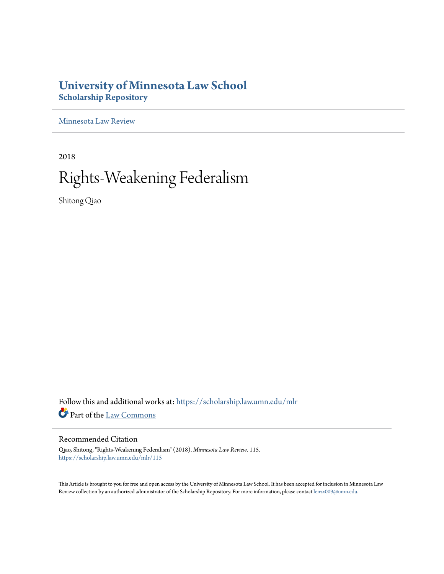## **University of Minnesota Law School [Scholarship Repository](https://scholarship.law.umn.edu?utm_source=scholarship.law.umn.edu%2Fmlr%2F115&utm_medium=PDF&utm_campaign=PDFCoverPages)**

[Minnesota Law Review](https://scholarship.law.umn.edu/mlr?utm_source=scholarship.law.umn.edu%2Fmlr%2F115&utm_medium=PDF&utm_campaign=PDFCoverPages)

2018

# Rights-Weakening Federalism

Shitong Qiao

Follow this and additional works at: [https://scholarship.law.umn.edu/mlr](https://scholarship.law.umn.edu/mlr?utm_source=scholarship.law.umn.edu%2Fmlr%2F115&utm_medium=PDF&utm_campaign=PDFCoverPages) Part of the [Law Commons](http://network.bepress.com/hgg/discipline/578?utm_source=scholarship.law.umn.edu%2Fmlr%2F115&utm_medium=PDF&utm_campaign=PDFCoverPages)

## Recommended Citation

Qiao, Shitong, "Rights-Weakening Federalism" (2018). *Minnesota Law Review*. 115. [https://scholarship.law.umn.edu/mlr/115](https://scholarship.law.umn.edu/mlr/115?utm_source=scholarship.law.umn.edu%2Fmlr%2F115&utm_medium=PDF&utm_campaign=PDFCoverPages)

This Article is brought to you for free and open access by the University of Minnesota Law School. It has been accepted for inclusion in Minnesota Law Review collection by an authorized administrator of the Scholarship Repository. For more information, please contact [lenzx009@umn.edu.](mailto:lenzx009@umn.edu)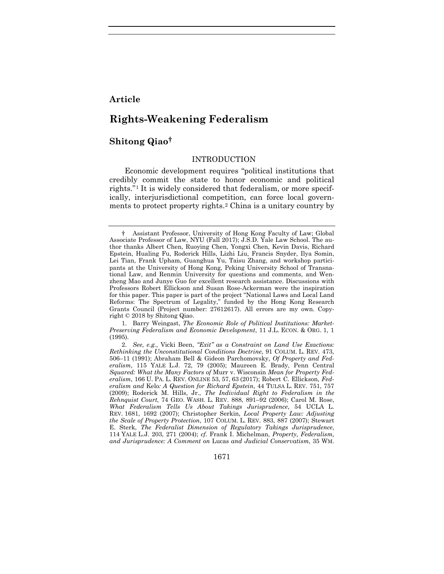## **Article**

## **Rights-Weakening Federalism**

## **Shitong Qiao[†](#page-1-0)**

#### <span id="page-1-4"></span>INTRODUCTION

<span id="page-1-3"></span>Economic development requires "political institutions that credibly commit the state to honor economic and political rights."[1](#page-1-1) It is widely considered that federalism, or more specifically, interjurisdictional competition, can force local governments to protect property rights[.2](#page-1-2) China is a unitary country by

<span id="page-1-1"></span>1. Barry Weingast, *The Economic Role of Political Institutions: Market-Preserving Federalism and Economic Development*, 11 J.L. ECON. & ORG. 1, 1 (1995).

1671

<span id="page-1-0"></span><sup>†</sup> Assistant Professor, University of Hong Kong Faculty of Law; Global Associate Professor of Law, NYU (Fall 2017); J.S.D. Yale Law School. The author thanks Albert Chen, Ruoying Chen, Yongxi Chen, Kevin Davis, Richard Epstein, Hualing Fu, Roderick Hills, Lizhi Liu, Francis Snyder, Ilya Somin, Lei Tian, Frank Upham, Guanghua Yu, Taisu Zhang, and workshop participants at the University of Hong Kong, Peking University School of Transnational Law, and Renmin University for questions and comments, and Wenzheng Mao and Junye Guo for excellent research assistance. Discussions with Professors Robert Ellickson and Susan Rose-Ackerman were the inspiration for this paper. This paper is part of the project "National Laws and Local Land Reforms: The Spectrum of Legality," funded by the Hong Kong Research Grants Council (Project number: 27612617). All errors are my own. Copyright © 2018 by Shitong Qiao.

<span id="page-1-2"></span><sup>2.</sup> *See, e.g.*, Vicki Been, *"Exit" as a Constraint on Land Use Exactions: Rethinking the Unconstitutional Conditions Doctrine*, 91 COLUM. L. REV. 473, 506–11 (1991); Abraham Bell & Gideon Parchomovsky, *Of Property and Federalism*, 115 YALE L.J. 72, 79 (2005); Maureen E. Brady, Penn Central *Squared: What the Many Factors of* Murr v. Wisconsin *Mean for Property Federalism*, 166 U. PA. L. REV. ONLINE 53, 57, 63 (2017); Robert C. Ellickson, *Federalism and* Kelo*: A Question for Richard Epstein*, 44 TULSA L. REV. 751, 757 (2009); Roderick M. Hills, Jr., *The Individual Right to Federalism in the Rehnquist Court*, 74 GEO. WASH. L. REV. 888, 891–92 (2006); Carol M. Rose, *What Federalism Tells Us About Takings Jurisprudence*, 54 UCLA L. REV. 1681, 1692 (2007); Christopher Serkin, *Local Property Law: Adjusting the Scale of Property Protection*, 107 COLUM. L. REV. 883, 887 (2007); Stewart E. Sterk, *The Federalist Dimension of Regulatory Takings Jurisprudence*, 114 YALE L.J. 203, 271 (2004); *cf.* Frank I. Michelman, *Property, Federalism, and Jurisprudence: A Comment on* Lucas *and Judicial Conservatism*, 35 WM.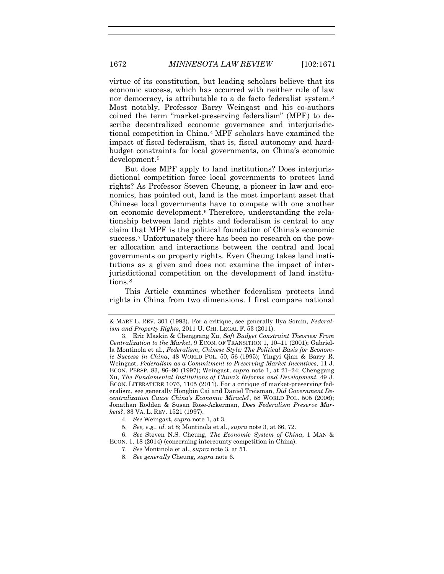virtue of its constitution, but leading scholars believe that its economic success, which has occurred with neither rule of law nor democracy, is attributable to a de facto federalist system.<sup>[3](#page-2-2)</sup> Most notably, Professor Barry Weingast and his co-authors coined the term "market-preserving federalism" (MPF) to describe decentralized economic governance and interjurisdictional competition in China.[4](#page-2-3) MPF scholars have examined the impact of fiscal federalism, that is, fiscal autonomy and hardbudget constraints for local governments, on China's economic development.[5](#page-2-4)

<span id="page-2-1"></span>But does MPF apply to land institutions? Does interjurisdictional competition force local governments to protect land rights? As Professor Steven Cheung, a pioneer in law and economics, has pointed out, land is the most important asset that Chinese local governments have to compete with one another on economic development.[6](#page-2-5) Therefore, understanding the relationship between land rights and federalism is central to any claim that MPF is the political foundation of China's economic success.[7](#page-2-6) Unfortunately there has been no research on the power allocation and interactions between the central and local governments on property rights. Even Cheung takes land institutions as a given and does not examine the impact of interjurisdictional competition on the development of land institutions.[8](#page-2-7)

This Article examines whether federalism protects land rights in China from two dimensions. I first compare national

<span id="page-2-0"></span>

<sup>&</sup>amp; MARY L. REV. 301 (1993). For a critique, see generally Ilya Somin, *Federalism and Property Rights*, 2011 U. CHI. LEGAL F. 53 (2011).

<span id="page-2-2"></span><sup>3.</sup> Eric Maskin & Chenggang Xu, *Soft Budget Constraint Theories: From Centralization to the Market*, 9 ECON. OF TRANSITION 1, 10–11 (2001); Gabriella Montinola et al., *Federalism, Chinese Style: The Political Basis for Economic Success in China*, 48 WORLD POL. 50, 56 (1995); Yingyi Qian & Barry R. Weingast, *Federalism as a Commitment to Preserving Market Incentives*, 11 J. ECON. PERSP. 83, 86–90 (1997); Weingast, *supra* note [1,](#page-1-3) at 21–24; Chenggang Xu, *The Fundamental Institutions of China's Reforms and Development*, 49 J. ECON. LITERATURE 1076, 1105 (2011). For a critique of market-preserving federalism, see generally Hongbin Cai and Daniel Treisman, *Did Government Decentralization Cause China's Economic Miracle?*, 58 WORLD POL. 505 (2006); Jonathan Rodden & Susan Rose-Ackerman, *Does Federalism Preserve Markets?*, 83 VA. L. REV. 1521 (1997).

<sup>4.</sup> *See* Weingast, *supra* not[e 1,](#page-1-3) at 3.

<sup>5.</sup> *See, e.g.*, *id.* at 8; Montinola et al., *supra* not[e 3,](#page-2-0) at 66, 72.

<span id="page-2-7"></span><span id="page-2-6"></span><span id="page-2-5"></span><span id="page-2-4"></span><span id="page-2-3"></span><sup>6.</sup> *See* Steven N.S. Cheung, *The Economic System of China*, 1 MAN & ECON. 1, 18 (2014) (concerning intercounty competition in China).

<sup>7.</sup> *See* Montinola et al., *supra* note [3,](#page-2-0) at 51.

<sup>8.</sup> *See generally* Cheung, *supra* not[e 6.](#page-2-1)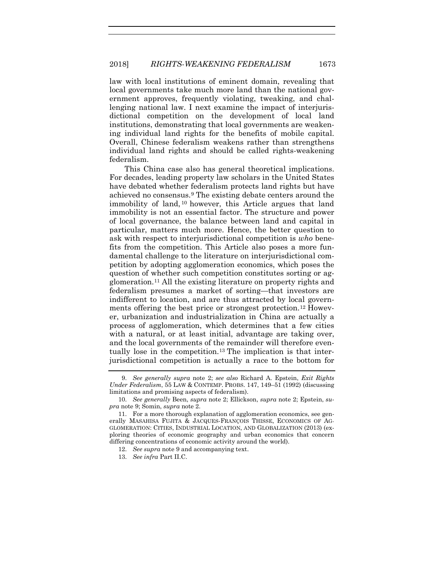law with local institutions of eminent domain, revealing that local governments take much more land than the national government approves, frequently violating, tweaking, and challenging national law. I next examine the impact of interjurisdictional competition on the development of local land institutions, demonstrating that local governments are weakening individual land rights for the benefits of mobile capital. Overall, Chinese federalism weakens rather than strengthens individual land rights and should be called rights-weakening federalism.

<span id="page-3-0"></span>This China case also has general theoretical implications. For decades, leading property law scholars in the United States have debated whether federalism protects land rights but have achieved no consensus.[9](#page-3-1) The existing debate centers around the immobility of land, [10](#page-3-2) however, this Article argues that land immobility is not an essential factor. The structure and power of local governance, the balance between land and capital in particular, matters much more. Hence, the better question to ask with respect to interjurisdictional competition is *who* benefits from the competition. This Article also poses a more fundamental challenge to the literature on interjurisdictional competition by adopting agglomeration economics, which poses the question of whether such competition constitutes sorting or agglomeration.[11](#page-3-3) All the existing literature on property rights and federalism presumes a market of sorting—that investors are indifferent to location, and are thus attracted by local govern-ments offering the best price or strongest protection.<sup>[12](#page-3-4)</sup> However, urbanization and industrialization in China are actually a process of agglomeration, which determines that a few cities with a natural, or at least initial, advantage are taking over, and the local governments of the remainder will therefore eventually lose in the competition.[13](#page-3-5) The implication is that interjurisdictional competition is actually a race to the bottom for

<span id="page-3-1"></span><sup>9.</sup> *See generally supra* note [2;](#page-1-4) *see also* Richard A. Epstein, *Exit Rights Under Federalism*, 55 LAW & CONTEMP. PROBS. 147, 149–51 (1992) (discussing limitations and promising aspects of federalism).

<span id="page-3-2"></span><sup>10.</sup> *See generally* Been, *supra* note [2;](#page-1-4) Ellickson, *supra* note [2;](#page-1-4) Epstein, *supra* note [9;](#page-3-0) Somin, *supra* not[e 2.](#page-1-4)

<span id="page-3-5"></span><span id="page-3-4"></span><span id="page-3-3"></span><sup>11.</sup> For a more thorough explanation of agglomeration economics, see generally MASAHISA FUJITA & JACQUES-FRANÇOIS THISSE, ECONOMICS OF AG-GLOMERATION: CITIES, INDUSTRIAL LOCATION, AND GLOBALIZATION (2013) (exploring theories of economic geography and urban economics that concern differing concentrations of economic activity around the world).

<sup>12.</sup> *See supra* note [9](#page-3-0) and accompanying text.

<sup>13.</sup> *See infra* Part II.C.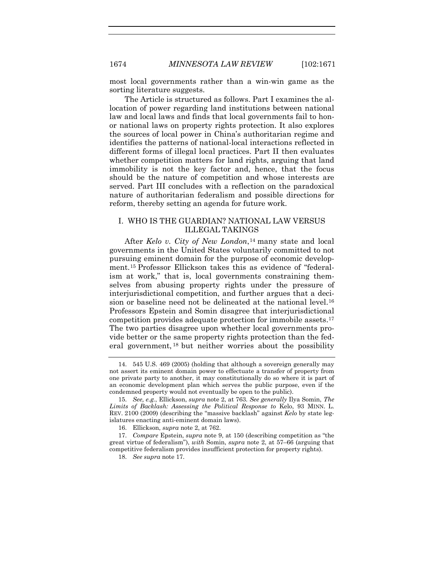most local governments rather than a win-win game as the sorting literature suggests.

The Article is structured as follows. Part I examines the allocation of power regarding land institutions between national law and local laws and finds that local governments fail to honor national laws on property rights protection. It also explores the sources of local power in China's authoritarian regime and identifies the patterns of national-local interactions reflected in different forms of illegal local practices. Part II then evaluates whether competition matters for land rights, arguing that land immobility is not the key factor and, hence, that the focus should be the nature of competition and whose interests are served. Part III concludes with a reflection on the paradoxical nature of authoritarian federalism and possible directions for reform, thereby setting an agenda for future work.

#### I. WHO IS THE GUARDIAN? NATIONAL LAW VERSUS ILLEGAL TAKINGS

<span id="page-4-6"></span>After *Kelo v. City of New London*,[14](#page-4-1) many state and local governments in the United States voluntarily committed to not pursuing eminent domain for the purpose of economic development.[15](#page-4-2) Professor Ellickson takes this as evidence of "federalism at work," that is, local governments constraining themselves from abusing property rights under the pressure of interjurisdictional competition, and further argues that a deci-sion or baseline need not be delineated at the national level.<sup>[16](#page-4-3)</sup> Professors Epstein and Somin disagree that interjurisdictional competition provides adequate protection for immobile assets.[17](#page-4-4) The two parties disagree upon whether local governments provide better or the same property rights protection than the federal government, [18](#page-4-5) but neither worries about the possibility

<span id="page-4-1"></span><span id="page-4-0"></span><sup>14.</sup> 545 U.S. 469 (2005) (holding that although a sovereign generally may not assert its eminent domain power to effectuate a transfer of property from one private party to another, it may constitutionally do so where it is part of an economic development plan which serves the public purpose, even if the condemned property would not eventually be open to the public).

<span id="page-4-2"></span><sup>15.</sup> *See, e.g.*, Ellickson, *supra* note [2,](#page-1-4) at 763. *See generally* Ilya Somin, *The Limits of Backlash: Assessing the Political Response to* Kelo, 93 MINN. L. REV. 2100 (2009) (describing the "massive backlash" against *Kelo* by state legislatures enacting anti-eminent domain laws).

<sup>16.</sup> Ellickson, *supra* note [2,](#page-1-4) at 762.

<span id="page-4-5"></span><span id="page-4-4"></span><span id="page-4-3"></span><sup>17.</sup> *Compare* Epstein, *supra* note [9,](#page-3-0) at 150 (describing competition as "the great virtue of federalism"), *with* Somin, *supra* note [2,](#page-1-4) at 57–66 (arguing that competitive federalism provides insufficient protection for property rights).

<sup>18.</sup> *See supra* note [17.](#page-4-0)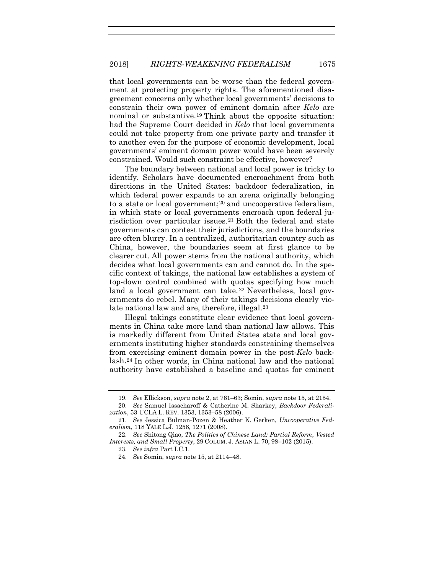that local governments can be worse than the federal government at protecting property rights. The aforementioned disagreement concerns only whether local governments' decisions to constrain their own power of eminent domain after *Kelo* are nominal or substantive.[19](#page-5-0) Think about the opposite situation: had the Supreme Court decided in *Kelo* that local governments could not take property from one private party and transfer it to another even for the purpose of economic development, local governments' eminent domain power would have been severely constrained. Would such constraint be effective, however?

<span id="page-5-6"></span>The boundary between national and local power is tricky to identify. Scholars have documented encroachment from both directions in the United States: backdoor federalization, in which federal power expands to an arena originally belonging to a state or local government;<sup>[20](#page-5-1)</sup> and uncooperative federalism, in which state or local governments encroach upon federal ju-risdiction over particular issues.<sup>[21](#page-5-2)</sup> Both the federal and state governments can contest their jurisdictions, and the boundaries are often blurry. In a centralized, authoritarian country such as China, however, the boundaries seem at first glance to be clearer cut. All power stems from the national authority, which decides what local governments can and cannot do. In the specific context of takings, the national law establishes a system of top-down control combined with quotas specifying how much land a local government can take.<sup>[22](#page-5-3)</sup> Nevertheless, local governments do rebel. Many of their takings decisions clearly vio-late national law and are, therefore, illegal.<sup>[23](#page-5-4)</sup>

<span id="page-5-7"></span>Illegal takings constitute clear evidence that local governments in China take more land than national law allows. This is markedly different from United States state and local governments instituting higher standards constraining themselves from exercising eminent domain power in the post-*Kelo* backlash.[24](#page-5-5) In other words, in China national law and the national authority have established a baseline and quotas for eminent

<sup>19.</sup> *See* Ellickson, *supra* note [2,](#page-1-4) at 761–63; Somin, *supra* note [15,](#page-4-6) at 2154.

<span id="page-5-1"></span><span id="page-5-0"></span><sup>20.</sup> *See* Samuel Issacharoff & Catherine M. Sharkey, *Backdoor Federalization*, 53 UCLA L. REV. 1353, 1353–58 (2006).

<span id="page-5-2"></span><sup>21.</sup> *See* Jessica Bulman-Pozen & Heather K. Gerken, *Uncooperative Federalism*, 118 YALE L.J. 1256, 1271 (2008).

<span id="page-5-5"></span><span id="page-5-4"></span><span id="page-5-3"></span><sup>22.</sup> *See* Shitong Qiao, *The Politics of Chinese Land: Partial Reform, Vested Interests, and Small Property*, 29 COLUM. J. ASIAN L. 70, 98–102 (2015).

<sup>23.</sup> *See infra* Part I.C.1.

<sup>24.</sup> *See* Somin, *supra* not[e 15,](#page-4-6) at 2114–48.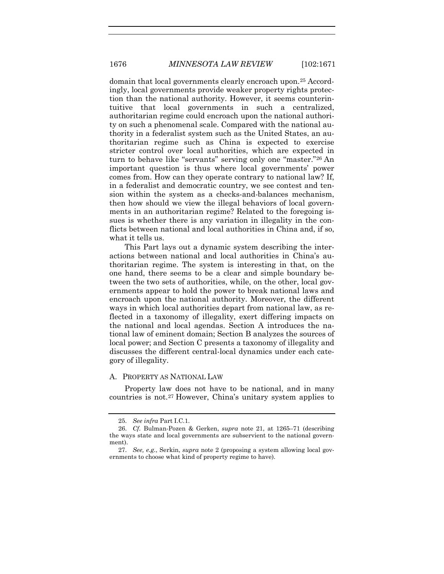domain that local governments clearly encroach upon.[25](#page-6-0) Accordingly, local governments provide weaker property rights protection than the national authority. However, it seems counterintuitive that local governments in such a centralized, authoritarian regime could encroach upon the national authority on such a phenomenal scale. Compared with the national authority in a federalist system such as the United States, an authoritarian regime such as China is expected to exercise stricter control over local authorities, which are expected in turn to behave like "servants" serving only one "master.["26](#page-6-1) An important question is thus where local governments' power comes from. How can they operate contrary to national law? If, in a federalist and democratic country, we see contest and tension within the system as a checks-and-balances mechanism, then how should we view the illegal behaviors of local governments in an authoritarian regime? Related to the foregoing issues is whether there is any variation in illegality in the conflicts between national and local authorities in China and, if so, what it tells us.

This Part lays out a dynamic system describing the interactions between national and local authorities in China's authoritarian regime. The system is interesting in that, on the one hand, there seems to be a clear and simple boundary between the two sets of authorities, while, on the other, local governments appear to hold the power to break national laws and encroach upon the national authority. Moreover, the different ways in which local authorities depart from national law, as reflected in a taxonomy of illegality, exert differing impacts on the national and local agendas. Section A introduces the national law of eminent domain; Section B analyzes the sources of local power; and Section C presents a taxonomy of illegality and discusses the different central-local dynamics under each category of illegality.

#### A. PROPERTY AS NATIONAL LAW

Property law does not have to be national, and in many countries is not.[27](#page-6-2) However, China's unitary system applies to

<sup>25.</sup> *See infra* Part I.C.1.

<span id="page-6-1"></span><span id="page-6-0"></span><sup>26.</sup> *Cf.* Bulman-Pozen & Gerken, *supra* note [21,](#page-5-6) at 1265–71 (describing the ways state and local governments are subservient to the national government).

<span id="page-6-2"></span><sup>27.</sup> *See, e.g.*, Serkin, *supra* note [2](#page-1-4) (proposing a system allowing local governments to choose what kind of property regime to have).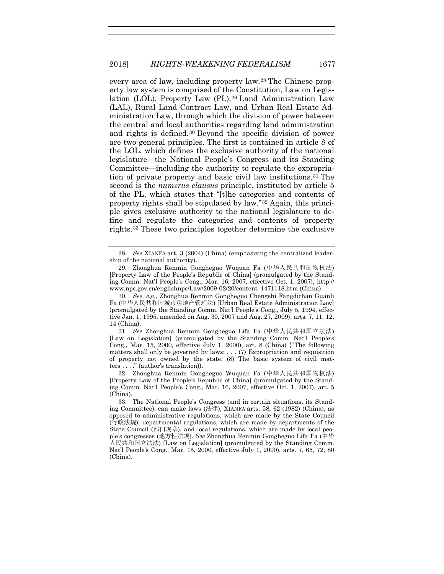every area of law, including property law.[28](#page-7-0) The Chinese property law system is comprised of the Constitution, Law on Legislation (LOL), Property Law (PL),[29](#page-7-1) Land Administration Law (LAL), Rural Land Contract Law, and Urban Real Estate Administration Law, through which the division of power between the central and local authorities regarding land administration and rights is defined.[30](#page-7-2) Beyond the specific division of power are two general principles. The first is contained in article 8 of the LOL, which defines the exclusive authority of the national legislature—the National People's Congress and its Standing Committee—including the authority to regulate the expropriation of private property and basic civil law institutions.[31](#page-7-3) The second is the *numerus clausus* principle, instituted by article 5 of the PL, which states that "[t]he categories and contents of property rights shall be stipulated by law."[32](#page-7-4) Again, this principle gives exclusive authority to the national legislature to define and regulate the categories and contents of property rights.[33](#page-7-5) These two principles together determine the exclusive

<span id="page-7-3"></span>31. *See* Zhonghua Renmin Gongheguo Lifa Fa (中华人民共和国立法法) [Law on Legislation] (promulgated by the Standing Comm. Nat'l People's Cong., Mar. 15, 2000, effective July 1, 2000), art. 8 (China) ("The following matters shall only be governed by laws: . . . (7) Expropriation and requisition of property not owned by the state; (8) The basic system of civil matters . . . ." (author's translation)).

<span id="page-7-4"></span>32. Zhonghua Renmin Gongheguo Wuquan Fa (中华人民共和国物权法) [Property Law of the People's Republic of China] (promulgated by the Standing Comm. Nat'l People's Cong., Mar. 16, 2007, effective Oct. 1, 2007), art. 5 (China).

<span id="page-7-5"></span>33. The National People's Congress (and in certain situations, its Standing Committee), can make laws (法律), XIANFA arts. 58, 62 (1982) (China), as opposed to administrative regulations, which are made by the State Council (行政法规), departmental regulations, which are made by departments of the State Council (部门规章), and local regulations, which are made by local people's congresses (地方性法规). *See* Zhonghua Renmin Gongheguo Lifa Fa (中华 人民共和国立法法) [Law on Legislation] (promulgated by the Standing Comm. Nat'l People's Cong., Mar. 15, 2000, effective July 1, 2000), arts. 7, 65, 72, 80 (China).

<span id="page-7-0"></span><sup>28.</sup> *See* XIANFA art. 3 (2004) (China) (emphasizing the centralized leadership of the national authority).

<span id="page-7-1"></span><sup>29.</sup> Zhonghua Renmin Gongheguo Wuquan Fa (中华人民共和国物权法) [Property Law of the People's Republic of China] (promulgated by the Standing Comm. Nat'l People's Cong., Mar. 16, 2007, effective Oct. 1, 2007), http:// www.npc.gov.cn/englishnpc/Law/2009-02/20/content\_1471118.htm (China).

<span id="page-7-2"></span><sup>30.</sup> *See, e.g.*, Zhonghua Renmin Gongheguo Chengshi Fangdichan Guanli Fa (中华人民共和国城市房地产管理法) [Urban Real Estate Administration Law] (promulgated by the Standing Comm. Nat'l People's Cong., July 5, 1994, effective Jan. 1, 1995, amended on Aug. 30, 2007 and Aug. 27, 2009), arts. 7, 11, 12, 14 (China).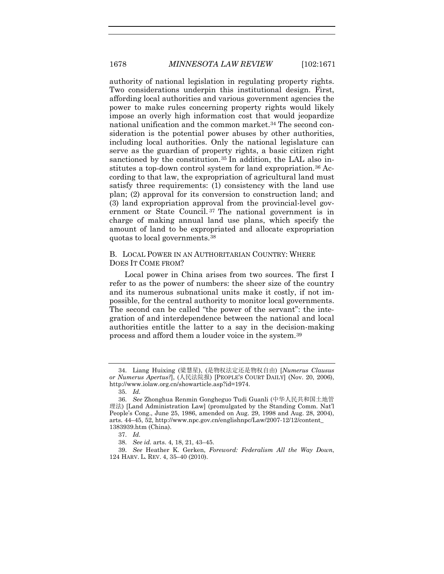authority of national legislation in regulating property rights. Two considerations underpin this institutional design. First, affording local authorities and various government agencies the power to make rules concerning property rights would likely impose an overly high information cost that would jeopardize national unification and the common market.[34](#page-8-0) The second consideration is the potential power abuses by other authorities, including local authorities. Only the national legislature can serve as the guardian of property rights, a basic citizen right sanctioned by the constitution.<sup>[35](#page-8-1)</sup> In addition, the LAL also institutes a top-down control system for land expropriation.[36](#page-8-2) According to that law, the expropriation of agricultural land must satisfy three requirements: (1) consistency with the land use plan; (2) approval for its conversion to construction land; and (3) land expropriation approval from the provincial-level government or State Council. [37](#page-8-3) The national government is in charge of making annual land use plans, which specify the amount of land to be expropriated and allocate expropriation quotas to local governments.[38](#page-8-4)

#### B. LOCAL POWER IN AN AUTHORITARIAN COUNTRY: WHERE DOES IT COME FROM?

Local power in China arises from two sources. The first I refer to as the power of numbers: the sheer size of the country and its numerous subnational units make it costly, if not impossible, for the central authority to monitor local governments. The second can be called "the power of the servant": the integration of and interdependence between the national and local authorities entitle the latter to a say in the decision-making process and afford them a louder voice in the system.[39](#page-8-5)

<span id="page-8-0"></span><sup>34.</sup> Liang Huixing (梁慧星), (是物权法定还是物权自由) [*Numerus Clausus or Numerus Apertus?*], (人民法院报) [PEOPLE'S COURT DAILY] (Nov. 20, 2006), http://www.iolaw.org.cn/showarticle.asp?id=1974.

<span id="page-8-6"></span><sup>35.</sup> *Id.*

<span id="page-8-2"></span><span id="page-8-1"></span><sup>36.</sup> *See* Zhonghua Renmin Gongheguo Tudi Guanli (中华人民共和国土地管 理法) [Land Administration Law] (promulgated by the Standing Comm. Nat'l People's Cong., June 25, 1986, amended on Aug. 29, 1998 and Aug. 28, 2004), arts. 44–45, 52, http://www.npc.gov.cn/englishnpc/Law/2007-12/12/content\_ 1383939.htm (China).

<sup>37.</sup> *Id.*

<sup>38.</sup> *See id.* arts. 4, 18, 21, 43–45.

<span id="page-8-5"></span><span id="page-8-4"></span><span id="page-8-3"></span><sup>39.</sup> *See* Heather K. Gerken, *Foreword: Federalism All the Way Down*, 124 HARV. L. REV. 4, 35–40 (2010).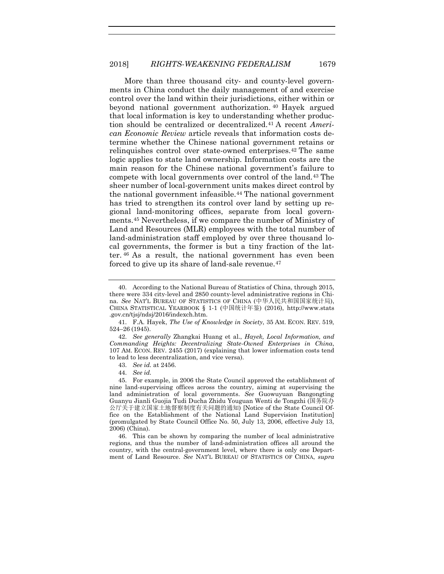<span id="page-9-9"></span><span id="page-9-8"></span>More than three thousand city- and county-level governments in China conduct the daily management of and exercise control over the land within their jurisdictions, either within or beyond national government authorization. [40](#page-9-0) Hayek argued that local information is key to understanding whether production should be centralized or decentralized.[41](#page-9-1) A recent *American Economic Review* article reveals that information costs determine whether the Chinese national government retains or relinquishes control over state-owned enterprises.[42](#page-9-2) The same logic applies to state land ownership. Information costs are the main reason for the Chinese national government's failure to compete with local governments over control of the land.[43](#page-9-3) The sheer number of local-government units makes direct control by the national government infeasible.[44](#page-9-4) The national government has tried to strengthen its control over land by setting up regional land-monitoring offices, separate from local governments[.45](#page-9-5) Nevertheless, if we compare the number of Ministry of Land and Resources (MLR) employees with the total number of land-administration staff employed by over three thousand local governments, the former is but a tiny fraction of the latter. [46](#page-9-6) As a result, the national government has even been forced to give up its share of land-sale revenue.[47](#page-9-7)

<span id="page-9-7"></span>42. *See generally* Zhangkai Huang et al., *Hayek, Local Information, and Commanding Heights: Decentralizing State-Owned Enterprises in China*, 107 AM. ECON. REV. 2455 (2017) (explaining that lower information costs tend to lead to less decentralization, and vice versa).

<span id="page-9-6"></span>46. This can be shown by comparing the number of local administrative regions, and thus the number of land-administration offices all around the country, with the central-government level, where there is only one Department of Land Resource. *See* NAT'L BUREAU OF STATISTICS OF CHINA, *supra* 

<span id="page-9-0"></span><sup>40.</sup> According to the National Bureau of Statistics of China, through 2015, there were 334 city-level and 2850 county-level administrative regions in China. *See* NAT'L BUREAU OF STATISTICS OF CHINA (中华人民共和国国家统计局), CHINA STATISTICAL YEARBOOK § 1-1 (中国统计年鉴) (2016), http://www.stats .gov.cn/tjsj/ndsj/2016/indexch.htm.

<span id="page-9-2"></span><span id="page-9-1"></span><sup>41.</sup> F.A. Hayek, *The Use of Knowledge in Society*, 35 AM. ECON. REV. 519, 524–26 (1945).

<sup>43.</sup> *See id.* at 2456.

<sup>44.</sup> *See id.*

<span id="page-9-5"></span><span id="page-9-4"></span><span id="page-9-3"></span><sup>45.</sup> For example, in 2006 the State Council approved the establishment of nine land-supervising offices across the country, aiming at supervising the land administration of local governments. *See* Guowuyuan Bangongting Guanyu Jianli Guojia Tudi Ducha Zhidu Youguan Wenti de Tongzhi (国务院办 公厅关于建立国家土地督察制度有关问题的通知) [Notice of the State Council Office on the Establishment of the National Land Supervision Institution] (promulgated by State Council Office No. 50, July 13, 2006, effective July 13, 2006) (China).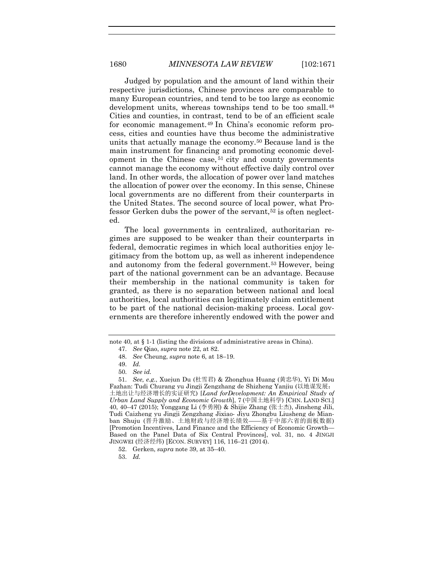Judged by population and the amount of land within their respective jurisdictions, Chinese provinces are comparable to many European countries, and tend to be too large as economic development units, whereas townships tend to be too small.[48](#page-10-0) Cities and counties, in contrast, tend to be of an efficient scale for economic management.[49](#page-10-1) In China's economic reform process, cities and counties have thus become the administrative units that actually manage the economy.[50](#page-10-2) Because land is the main instrument for financing and promoting economic development in the Chinese case, [51](#page-10-3) city and county governments cannot manage the economy without effective daily control over land. In other words, the allocation of power over land matches the allocation of power over the economy. In this sense, Chinese local governments are no different from their counterparts in the United States. The second source of local power, what Professor Gerken dubs the power of the servant,[52](#page-10-4) is often neglected.

The local governments in centralized, authoritarian regimes are supposed to be weaker than their counterparts in federal, democratic regimes in which local authorities enjoy legitimacy from the bottom up, as well as inherent independence and autonomy from the federal government.[53](#page-10-5) However, being part of the national government can be an advantage. Because their membership in the national community is taken for granted, as there is no separation between national and local authorities, local authorities can legitimately claim entitlement to be part of the national decision-making process. Local governments are therefore inherently endowed with the power and

<span id="page-10-0"></span>not[e 40,](#page-9-8) at § 1-1 (listing the divisions of administrative areas in China).

<sup>47.</sup> *See* Qiao, *supra* note [22,](#page-5-7) at 82.

<sup>48.</sup> *See* Cheung, *supra* note [6,](#page-2-1) at 18–19.

<sup>49.</sup> *Id.*

<sup>50.</sup> *See id.*

<span id="page-10-3"></span><span id="page-10-2"></span><span id="page-10-1"></span><sup>51.</sup> *See, e.g.*, Xuejun Du (杜雪君) & Zhonghua Huang (黄忠华), Yi Di Mou Fazhan: Tudi Churang yu Jingji Zengzhang de Shizheng Yanjiu (以地谋发展: 土地出让与经济增长的实证研究) [*Land forDevelopment: An Empirical Study of Urban Land Supply and Economic Growth*], 7 (中国土地科学) [CHN. LAND SCI.] 40, 40–47 (2015); Yonggang Li (李勇刚) & Shijie Zhang (张士杰), Jinsheng Jili, Tudi Caizheng yu Jingji Zengzhang Jixiao- Jiyu Zhongbu Liusheng de Mianban Shuju (晋升激励、土地财政与经济增长绩效——基于中部六省的面板数据) [Promotion Incentives, Land Finance and the Efficiency of Economic Growth— Based on the Panel Data of Six Central Provinces], vol. 31, no. 4 JINGJI JINGWEI (经济经纬) [ECON. SURVEY] 116, 116–21 (2014).

<span id="page-10-4"></span><sup>52.</sup> Gerken, *supra* note [39,](#page-8-6) at 35–40.

<span id="page-10-5"></span><sup>53.</sup> *Id.*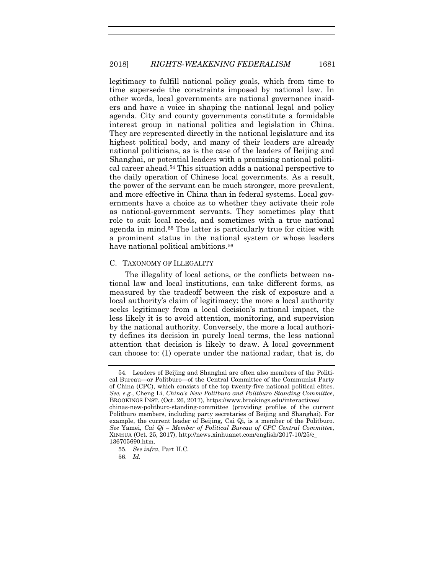legitimacy to fulfill national policy goals, which from time to time supersede the constraints imposed by national law. In other words, local governments are national governance insiders and have a voice in shaping the national legal and policy agenda. City and county governments constitute a formidable interest group in national politics and legislation in China. They are represented directly in the national legislature and its highest political body, and many of their leaders are already national politicians, as is the case of the leaders of Beijing and Shanghai, or potential leaders with a promising national political career ahead.[54](#page-11-0) This situation adds a national perspective to the daily operation of Chinese local governments. As a result, the power of the servant can be much stronger, more prevalent, and more effective in China than in federal systems. Local governments have a choice as to whether they activate their role as national-government servants. They sometimes play that role to suit local needs, and sometimes with a true national agenda in mind.[55](#page-11-1) The latter is particularly true for cities with a prominent status in the national system or whose leaders have national political ambitions.<sup>[56](#page-11-2)</sup>

#### C. TAXONOMY OF ILLEGALITY

The illegality of local actions, or the conflicts between national law and local institutions, can take different forms, as measured by the tradeoff between the risk of exposure and a local authority's claim of legitimacy: the more a local authority seeks legitimacy from a local decision's national impact, the less likely it is to avoid attention, monitoring, and supervision by the national authority. Conversely, the more a local authority defines its decision in purely local terms, the less national attention that decision is likely to draw. A local government can choose to: (1) operate under the national radar, that is, do

<span id="page-11-0"></span><sup>54.</sup> Leaders of Beijing and Shanghai are often also members of the Political Bureau—or Politburo—of the Central Committee of the Communist Party of China (CPC), which consists of the top twenty-five national political elites. *See, e.g.*, Cheng Li, *China's New Politburo and Politburo Standing Committee*, BROOKINGS INST. (Oct. 26, 2017), https://www.brookings.edu/interactives/ chinas-new-politburo-standing-committee (providing profiles of the current Politburo members, including party secretaries of Beijing and Shanghai). For example, the current leader of Beijing, Cai Qi, is a member of the Politburo. *See* Yamei, *Cai Qi – Member of Political Bureau of CPC Central Committee*, XINHUA (Oct. 25, 2017), http://news.xinhuanet.com/english/2017-10/25/c\_ 136705690.htm.

<span id="page-11-2"></span><span id="page-11-1"></span><sup>55.</sup> *See infra*, Part II.C.

<sup>56.</sup> *Id.*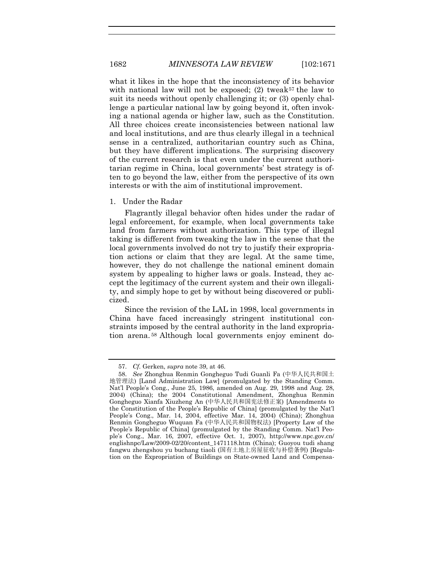what it likes in the hope that the inconsistency of its behavior with national law will not be exposed; (2) tweak<sup>[57](#page-12-0)</sup> the law to suit its needs without openly challenging it; or (3) openly challenge a particular national law by going beyond it, often invoking a national agenda or higher law, such as the Constitution. All three choices create inconsistencies between national law and local institutions, and are thus clearly illegal in a technical sense in a centralized, authoritarian country such as China, but they have different implications. The surprising discovery of the current research is that even under the current authoritarian regime in China, local governments' best strategy is often to go beyond the law, either from the perspective of its own interests or with the aim of institutional improvement.

#### 1. Under the Radar

Flagrantly illegal behavior often hides under the radar of legal enforcement, for example, when local governments take land from farmers without authorization. This type of illegal taking is different from tweaking the law in the sense that the local governments involved do not try to justify their expropriation actions or claim that they are legal. At the same time, however, they do not challenge the national eminent domain system by appealing to higher laws or goals. Instead, they accept the legitimacy of the current system and their own illegality, and simply hope to get by without being discovered or publicized.

Since the revision of the LAL in 1998, local governments in China have faced increasingly stringent institutional constraints imposed by the central authority in the land expropriation arena. [58](#page-12-1) Although local governments enjoy eminent do-

<sup>57.</sup> *Cf.* Gerken, *supra* note [39,](#page-8-6) at 46.

<span id="page-12-1"></span><span id="page-12-0"></span><sup>58.</sup> *See* Zhonghua Renmin Gongheguo Tudi Guanli Fa (中华人民共和国土 地管理法) [Land Administration Law] (promulgated by the Standing Comm. Nat'l People's Cong., June 25, 1986, amended on Aug. 29, 1998 and Aug. 28, 2004) (China); the 2004 Constitutional Amendment, Zhonghua Renmin Gongheguo Xianfa Xiuzheng An (中华人民共和国宪法修正案) [Amendments to the Constitution of the People's Republic of China] (promulgated by the Nat'l People's Cong., Mar. 14, 2004, effective Mar. 14, 2004) (China); Zhonghua Renmin Gongheguo Wuquan Fa (中华人民共和国物权法) [Property Law of the People's Republic of China] (promulgated by the Standing Comm. Nat'l People's Cong., Mar. 16, 2007, effective Oct. 1, 2007), http://www.npc.gov.cn/ englishnpc/Law/2009-02/20/content\_1471118.htm (China); Guoyou tudi shang fangwu zhengshou yu buchang tiaoli ([国有土地上房屋征收与补偿条例](http://www.pkulaw.cn.eproxy2.lib.hku.hk/fulltext_form.aspx?Db=chl&Gid=144434)) [Regulation on the Expropriation of Buildings on State-owned Land and Compensa-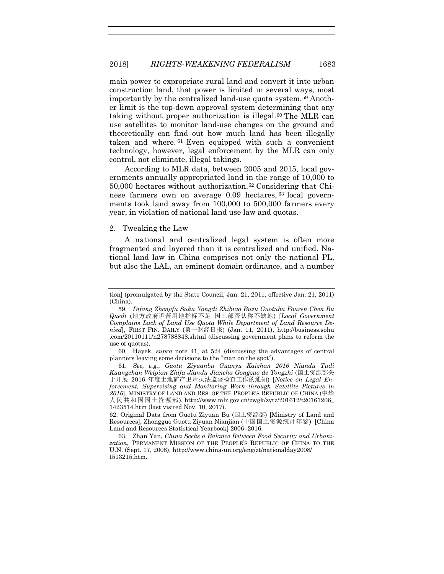main power to expropriate rural land and convert it into urban construction land, that power is limited in several ways, most importantly by the centralized land-use quota system.[59](#page-13-0) Another limit is the top-down approval system determining that any taking without proper authorization is illegal.<sup>60</sup> The MLR can use satellites to monitor land-use changes on the ground and theoretically can find out how much land has been illegally taken and where. [61](#page-13-2) Even equipped with such a convenient technology, however, legal enforcement by the MLR can only control, not eliminate, illegal takings.

According to MLR data, between 2005 and 2015, local governments annually appropriated land in the range of 10,000 to 50,000 hectares without authorization.[62](#page-13-3) Considering that Chinese farmers own on average 0.09 hectares, [63](#page-13-4) local governments took land away from 100,000 to 500,000 farmers every year, in violation of national land use law and quotas.

#### 2. Tweaking the Law

A national and centralized legal system is often more fragmented and layered than it is centralized and unified. National land law in China comprises not only the national PL, but also the LAL, an eminent domain ordinance, and a number

<span id="page-13-1"></span>60. Hayek, *supra* note [41,](#page-9-9) at 524 (discussing the advantages of central planners leaving some decisions to the "man on the spot").

<span id="page-13-2"></span>61. *See, e.g.*, *Guotu Ziyuanbu Guanyu Kaizhan 2016 Niandu Tudi Kuangchan Weipian Zhifa Jiandu Jiancha Gongzuo de Tongzhi* (国土资源部关 于开展 2016 年度土地矿产卫片执法监督检查工作的通知) [*Notice on Legal Enforcement, Supervising and Monitoring Work through Satellite Pictures in 2016*], MINISTRY OF LAND AND RES. OF THE PEOPLE'S REPUBLIC OF CHINA (中华 人民共和国国土资源部), http://www.mlr.gov.cn/zwgk/zytz/201612/t20161206\_ 1423514.htm (last visited Nov. 10, 2017).

<span id="page-13-3"></span>62. Original Data from Guotu Ziyuan Bu (国土资源部) [Ministry of Land and Resources], Zhongguo Guotu Ziyuan Nianjian (中国国土资源统计年鉴) [China Land and Resources Statistical Yearbook] 2006–2016.

<span id="page-13-4"></span>63. Zhan Yan, *China Seeks a Balance Between Food Security and Urbanization*, PERMANENT MISSION OF THE PEOPLE'S REPUBLIC OF CHINA TO THE U.N. (Sept. 17, 2008), http://www.china-un.org/eng/zt/nationalday2008/ t513215.htm.

tion] (promulgated by the State Council, Jan. 21, 2011, effective Jan. 21, 2011) (China).

<span id="page-13-0"></span><sup>59.</sup> *Difang Zhengfu Suku Yongdi Zhibiao Buzu Guotubu Fouren Chen Bu Quedi* (地方政府诉苦用地指标不足 国土部否认称不缺地) [*Local Government Complains Lack of Land Use Quota While Department of Land Resource Denied*], FIRST FIN. DAILY (第一财经日报) (Jan. 11, 2011), http://business.sohu .com/20110111/n278788848.shtml (discussing government plans to reform the use of quotas).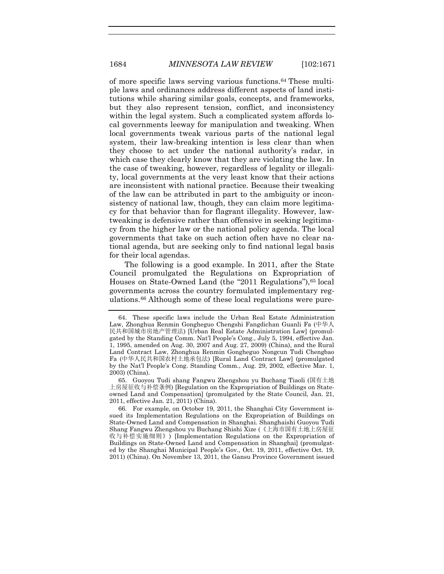of more specific laws serving various functions.[64](#page-14-0) These multiple laws and ordinances address different aspects of land institutions while sharing similar goals, concepts, and frameworks, but they also represent tension, conflict, and inconsistency within the legal system. Such a complicated system affords local governments leeway for manipulation and tweaking. When local governments tweak various parts of the national legal system, their law-breaking intention is less clear than when they choose to act under the national authority's radar, in which case they clearly know that they are violating the law. In the case of tweaking, however, regardless of legality or illegality, local governments at the very least know that their actions are inconsistent with national practice. Because their tweaking of the law can be attributed in part to the ambiguity or inconsistency of national law, though, they can claim more legitimacy for that behavior than for flagrant illegality. However, lawtweaking is defensive rather than offensive in seeking legitimacy from the higher law or the national policy agenda. The local governments that take on such action often have no clear national agenda, but are seeking only to find national legal basis for their local agendas.

The following is a good example. In 2011, after the State Council promulgated the Regulations on Expropriation of Houses on State-Owned Land (the "2011 Regulations"), [65](#page-14-1) local governments across the country formulated implementary regulations.[66](#page-14-2) Although some of these local regulations were pure-

<span id="page-14-1"></span>65. Guoyou Tudi shang Fangwu Zhengshou yu Buchang Tiaoli ([国有土地](http://www.pkulaw.cn.eproxy2.lib.hku.hk/fulltext_form.aspx?Db=chl&Gid=144434) [上房屋征收与补偿条例](http://www.pkulaw.cn.eproxy2.lib.hku.hk/fulltext_form.aspx?Db=chl&Gid=144434)) [Regulation on the Expropriation of Buildings on Stateowned Land and Compensation] (promulgated by the State Council, Jan. 21, 2011, effective Jan. 21, 2011) (China).

<span id="page-14-2"></span>66. For example, on October 19, 2011, the Shanghai City Government issued its Implementation Regulations on the Expropriation of Buildings on State-Owned Land and Compensation in Shanghai. Shanghaishi Guoyou Tudi Shang Fangwu Zhengshou yu Buchang Shishi Xize (《上海市国有土地上房屋征 收与补偿实施细则》) [Implementation Regulations on the Expropriation of Buildings on State-Owned Land and Compensation in Shanghai] (promulgated by the Shanghai Municipal People's Gov., Oct. 19, 2011, effective Oct. 19, 2011) (China). On November 13, 2011, the Gansu Province Government issued

<span id="page-14-0"></span><sup>64.</sup> These specific laws include the Urban Real Estate Administration Law, Zhonghua Renmin Gongheguo Chengshi Fangdichan Guanli Fa (中华人 民共和国城市房地产管理法) [Urban Real Estate Administration Law] (promulgated by the Standing Comm. Nat'l People's Cong., July 5, 1994, effective Jan. 1, 1995, amended on Aug. 30, 2007 and Aug. 27, 2009) (China), and the Rural Land Contract Law, Zhonghua Renmin Gongheguo Nongcun Tudi Chengbao Fa (中华人民共和国农村土地承包法) [Rural Land Contract Law] (promulgated by the Nat'l People's Cong. Standing Comm., Aug. 29, 2002, effective Mar. 1, 2003) (China).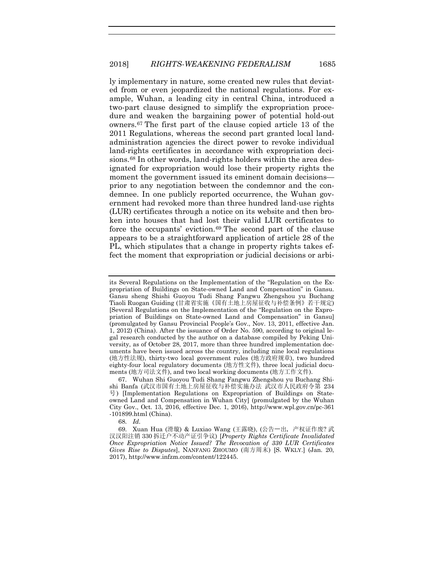ly implementary in nature, some created new rules that deviated from or even jeopardized the national regulations. For example, Wuhan, a leading city in central China, introduced a two-part clause designed to simplify the expropriation procedure and weaken the bargaining power of potential hold-out owners.[67](#page-15-0) The first part of the clause copied article 13 of the 2011 Regulations, whereas the second part granted local landadministration agencies the direct power to revoke individual land-rights certificates in accordance with expropriation deci-sions.<sup>[68](#page-15-1)</sup> In other words, land-rights holders within the area designated for expropriation would lose their property rights the moment the government issued its eminent domain decisions prior to any negotiation between the condemnor and the condemnee. In one publicly reported occurrence, the Wuhan government had revoked more than three hundred land-use rights (LUR) certificates through a notice on its website and then broken into houses that had lost their valid LUR certificates to force the occupants' eviction.[69](#page-15-2) The second part of the clause appears to be a straightforward application of article 28 of the PL, which stipulates that a change in property rights takes effect the moment that expropriation or judicial decisions or arbi-

68. *Id.*

its Several Regulations on the Implementation of the "Regulation on the Expropriation of Buildings on State-owned Land and Compensation" in Gansu. Gansu sheng Shishi Guoyou Tudi Shang Fangwu Zhengshou yu Buchang Tiaoli Ruogan Guiding (甘肃省实施《国有土地上房屋征收与补偿条例》若干规定) [Several Regulations on the Implementation of the "Regulation on the Expropriation of Buildings on State-owned Land and Compensation" in Gansu] (promulgated by Gansu Provincial People's Gov., Nov. 13, 2011, effective Jan. 1, 2012) (China). After the issuance of Order No. 590, according to original legal research conducted by the author on a database compiled by Peking University, as of October 28, 2017, more than three hundred implementation documents have been issued across the country, including nine local regulations (地方性法规), thirty-two local government rules (地方政府规章), two hundred eighty-four local regulatory documents (地方性文件), three local judicial documents (地方司法文件), and two local working documents (地方工作文件).

<span id="page-15-0"></span><sup>67.</sup> Wuhan Shi Guoyou Tudi Shang Fangwu Zhengshou yu Buchang Shishi Banfa (武汉市国有土地上房屋征收与补偿实施办法 武汉市人民政府令第 234 号) [Implementation Regulations on Expropriation of Buildings on Stateowned Land and Compensation in Wuhan City] (promulgated by the Wuhan City Gov., Oct. 13, 2016, effective Dec. 1, 2016), http://www.wpl.gov.cn/pc-361 -101899.html (China).

<span id="page-15-2"></span><span id="page-15-1"></span><sup>69.</sup> Xuan Hua (滑璇) & Luxiao Wang (王露晓), (公告一出,产权证作废? 武 汉汉阳注销 330 拆迁户不动产证引争议) [*Property Rights Certificate Invalidated Once Expropriation Notice Issued? The Revocation of 330 LUR Certificates Gives Rise to Disputes*], NANFANG ZHOUMO (南方周末) [S. WKLY.] (Jan. 20, 2017), http://www.infzm.com/content/122445.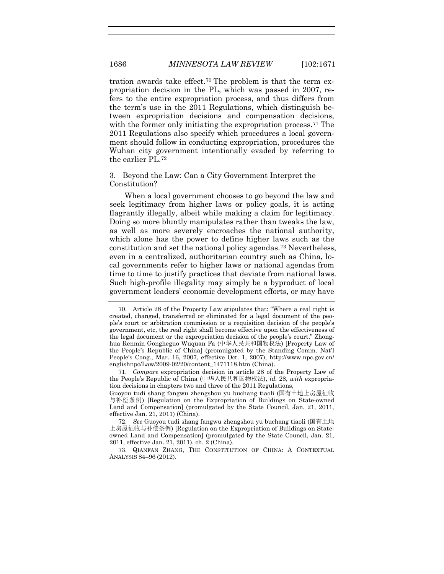tration awards take effect.[70](#page-16-0) The problem is that the term expropriation decision in the PL, which was passed in 2007, refers to the entire expropriation process, and thus differs from the term's use in the 2011 Regulations, which distinguish between expropriation decisions and compensation decisions, with the former only initiating the expropriation process.<sup>[71](#page-16-1)</sup> The 2011 Regulations also specify which procedures a local government should follow in conducting expropriation, procedures the Wuhan city government intentionally evaded by referring to the earlier PL.[72](#page-16-2)

3. Beyond the Law: Can a City Government Interpret the Constitution?

When a local government chooses to go beyond the law and seek legitimacy from higher laws or policy goals, it is acting flagrantly illegally, albeit while making a claim for legitimacy. Doing so more bluntly manipulates rather than tweaks the law, as well as more severely encroaches the national authority, which alone has the power to define higher laws such as the constitution and set the national policy agendas.[73](#page-16-3) Nevertheless, even in a centralized, authoritarian country such as China, local governments refer to higher laws or national agendas from time to time to justify practices that deviate from national laws. Such high-profile illegality may simply be a byproduct of local government leaders' economic development efforts, or may have

<span id="page-16-0"></span><sup>70.</sup> Article 28 of the Property Law stipulates that: "Where a real right is created, changed, transferred or eliminated for a legal document of the people's court or arbitration commission or a requisition decision of the people's government, etc, the real right shall become effective upon the effectiveness of the legal document or the expropriation decision of the people's court." Zhonghua Renmin Gongheguo Wuquan Fa (中华人民共和国物权法) [Property Law of the People's Republic of China] (promulgated by the Standing Comm. Nat'l People's Cong., Mar. 16, 2007, effective Oct. 1, 2007), http://www.npc.gov.cn/ englishnpc/Law/2009-02/20/content\_1471118.htm (China).

<span id="page-16-1"></span><sup>71.</sup> *Compare* expropriation decision in article 28 of the Property Law of the People's Republic of China (中华人民共和国物权法), *id.* 28, *with* expropriation decisions in chapters two and three of the 2011 Regulations,

Guoyou tudi shang fangwu zhengshou yu buchang tiaoli ([国有土地上房屋征收](http://www.pkulaw.cn.eproxy2.lib.hku.hk/fulltext_form.aspx?Db=chl&Gid=144434) [与补偿条例](http://www.pkulaw.cn.eproxy2.lib.hku.hk/fulltext_form.aspx?Db=chl&Gid=144434)) [Regulation on the Expropriation of Buildings on State-owned Land and Compensation] (promulgated by the State Council, Jan. 21, 2011, effective Jan. 21, 2011) (China).

<span id="page-16-2"></span><sup>72.</sup> *See* Guoyou tudi shang fangwu zhengshou yu buchang tiaoli ([国有土地](http://www.pkulaw.cn.eproxy2.lib.hku.hk/fulltext_form.aspx?Db=chl&Gid=144434) [上房屋征收与补偿条例](http://www.pkulaw.cn.eproxy2.lib.hku.hk/fulltext_form.aspx?Db=chl&Gid=144434)) [Regulation on the Expropriation of Buildings on Stateowned Land and Compensation] (promulgated by the State Council, Jan. 21, 2011, effective Jan. 21, 2011), ch. 2 (China).

<span id="page-16-3"></span><sup>73.</sup> QIANFAN ZHANG, THE CONSTITUTION OF CHINA: A CONTEXTUAL ANALYSIS 84–96 (2012).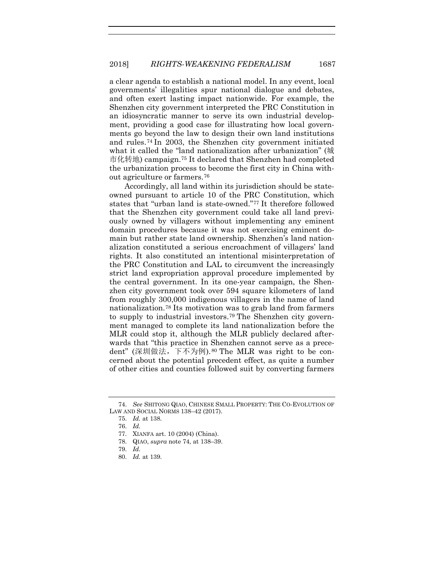a clear agenda to establish a national model. In any event, local governments' illegalities spur national dialogue and debates, and often exert lasting impact nationwide. For example, the Shenzhen city government interpreted the PRC Constitution in an idiosyncratic manner to serve its own industrial development, providing a good case for illustrating how local governments go beyond the law to design their own land institutions and rules.[74](#page-17-1) In 2003, the Shenzhen city government initiated what it called the "land nationalization after urbanization" (城 市化转地) campaign.[75](#page-17-2) It declared that Shenzhen had completed the urbanization process to become the first city in China without agriculture or farmers.[76](#page-17-3)

<span id="page-17-0"></span>Accordingly, all land within its jurisdiction should be stateowned pursuant to article 10 of the PRC Constitution, which states that "urban land is state-owned."[77](#page-17-4) It therefore followed that the Shenzhen city government could take all land previously owned by villagers without implementing any eminent domain procedures because it was not exercising eminent domain but rather state land ownership. Shenzhen's land nationalization constituted a serious encroachment of villagers' land rights. It also constituted an intentional misinterpretation of the PRC Constitution and LAL to circumvent the increasingly strict land expropriation approval procedure implemented by the central government. In its one-year campaign, the Shenzhen city government took over 594 square kilometers of land from roughly 300,000 indigenous villagers in the name of land nationalization.[78](#page-17-5) Its motivation was to grab land from farmers to supply to industrial investors.[79](#page-17-6) The Shenzhen city government managed to complete its land nationalization before the MLR could stop it, although the MLR publicly declared afterwards that "this practice in Shenzhen cannot serve as a precedent" (深圳做法,下不为例).[80](#page-17-7) The MLR was right to be concerned about the potential precedent effect, as quite a number of other cities and counties followed suit by converting farmers

<span id="page-17-5"></span><span id="page-17-4"></span><span id="page-17-3"></span><span id="page-17-2"></span><span id="page-17-1"></span><sup>74.</sup> *See* SHITONG QIAO, CHINESE SMALL PROPERTY: THE CO-EVOLUTION OF LAW AND SOCIAL NORMS 138–42 (2017).

<sup>75.</sup> *Id.* at 138.

<sup>76.</sup> *Id.*

<sup>77.</sup> XIANFA art. 10 (2004) (China).

<sup>78.</sup> QIAO, *supra* note [74,](#page-17-0) at 138–39.

<span id="page-17-6"></span><sup>79.</sup> *Id.*

<span id="page-17-7"></span><sup>80.</sup> *Id.* at 139.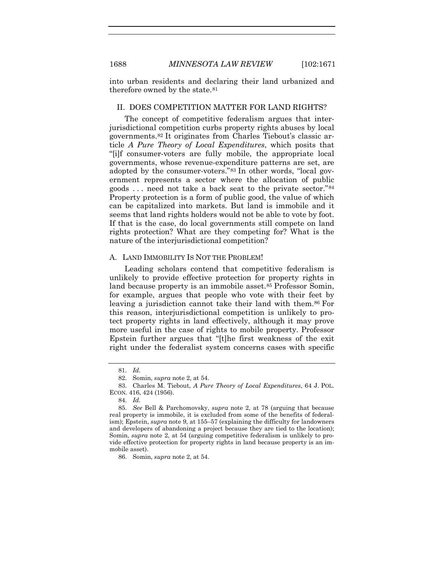into urban residents and declaring their land urbanized and therefore owned by the state.[81](#page-18-0)

#### II. DOES COMPETITION MATTER FOR LAND RIGHTS?

The concept of competitive federalism argues that interjurisdictional competition curbs property rights abuses by local governments.[82](#page-18-1) It originates from Charles Tiebout's classic article *A Pure Theory of Local Expenditures*, which posits that "[i]f consumer-voters are fully mobile, the appropriate local governments, whose revenue-expenditure patterns are set, are adopted by the consumer-voters."[83](#page-18-2) In other words, "local government represents a sector where the allocation of public goods . . . need not take a back seat to the private sector."[84](#page-18-3) Property protection is a form of public good, the value of which can be capitalized into markets. But land is immobile and it seems that land rights holders would not be able to vote by foot. If that is the case, do local governments still compete on land rights protection? What are they competing for? What is the nature of the interjurisdictional competition?

#### A. LAND IMMOBILITY IS NOT THE PROBLEM!

Leading scholars contend that competitive federalism is unlikely to provide effective protection for property rights in land because property is an immobile asset.[85](#page-18-4) Professor Somin, for example, argues that people who vote with their feet by leaving a jurisdiction cannot take their land with them.<sup>86</sup> For this reason, interjurisdictional competition is unlikely to protect property rights in land effectively, although it may prove more useful in the case of rights to mobile property. Professor Epstein further argues that "[t]he first weakness of the exit right under the federalist system concerns cases with specific

<span id="page-18-5"></span>86. Somin, *supra* note [2,](#page-1-4) at 54.

<sup>81.</sup> *Id.*

<sup>82.</sup> Somin, *supra* note [2,](#page-1-4) at 54.

<span id="page-18-2"></span><span id="page-18-1"></span><span id="page-18-0"></span><sup>83.</sup> Charles M. Tiebout, *A Pure Theory of Local Expenditures*, 64 J. POL. ECON. 416, 424 (1956).

<sup>84.</sup> *Id.*

<span id="page-18-4"></span><span id="page-18-3"></span><sup>85.</sup> *See* Bell & Parchomovsky, *supra* note [2,](#page-1-4) at 78 (arguing that because real property is immobile, it is excluded from some of the benefits of federalism); Epstein, *supra* note [9,](#page-3-0) at 155–57 (explaining the difficulty for landowners and developers of abandoning a project because they are tied to the location); Somin, *supra* note [2,](#page-1-4) at 54 (arguing competitive federalism is unlikely to provide effective protection for property rights in land because property is an immobile asset).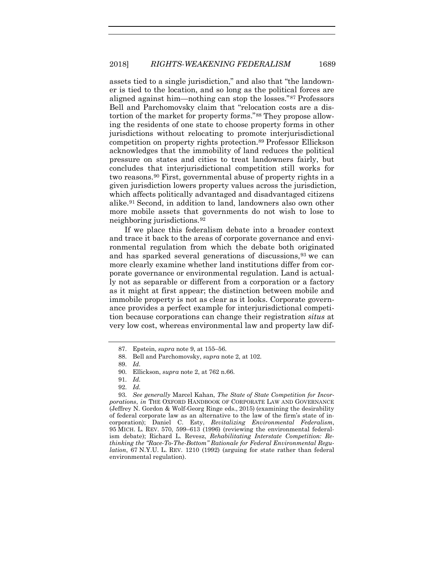assets tied to a single jurisdiction," and also that "the landowner is tied to the location, and so long as the political forces are aligned against him—nothing can stop the losses."[87](#page-19-0) Professors Bell and Parchomovsky claim that "relocation costs are a distortion of the market for property forms."[88](#page-19-1) They propose allowing the residents of one state to choose property forms in other jurisdictions without relocating to promote interjurisdictional competition on property rights protection.[89](#page-19-2) Professor Ellickson acknowledges that the immobility of land reduces the political pressure on states and cities to treat landowners fairly, but concludes that interjurisdictional competition still works for two reasons.[90](#page-19-3) First, governmental abuse of property rights in a given jurisdiction lowers property values across the jurisdiction, which affects politically advantaged and disadvantaged citizens alike.[91](#page-19-4) Second, in addition to land, landowners also own other more mobile assets that governments do not wish to lose to neighboring jurisdictions.[92](#page-19-5)

If we place this federalism debate into a broader context and trace it back to the areas of corporate governance and environmental regulation from which the debate both originated and has sparked several generations of discussions, <sup>[93](#page-19-6)</sup> we can more clearly examine whether land institutions differ from corporate governance or environmental regulation. Land is actually not as separable or different from a corporation or a factory as it might at first appear; the distinction between mobile and immobile property is not as clear as it looks. Corporate governance provides a perfect example for interjurisdictional competition because corporations can change their registration *situs* at very low cost, whereas environmental law and property law dif-

<span id="page-19-0"></span><sup>87.</sup> Epstein, *supra* note [9,](#page-3-0) at 155–56.

<sup>88.</sup> Bell and Parchomovsky, *supra* not[e 2,](#page-1-4) at 102.

<sup>89.</sup> *Id.*

<sup>90.</sup> Ellickson, *supra* not[e 2,](#page-1-4) at 762 n.66.

<sup>91.</sup> *Id.*

<sup>92.</sup> *Id.*

<span id="page-19-6"></span><span id="page-19-5"></span><span id="page-19-4"></span><span id="page-19-3"></span><span id="page-19-2"></span><span id="page-19-1"></span><sup>93.</sup> *See generally* Marcel Kahan, *The State of State Competition for Incorporations*, *in* THE OXFORD HANDBOOK OF CORPORATE LAW AND GOVERNANCE (Jeffrey N. Gordon & Wolf-Georg Ringe eds., 2015) (examining the desirability of federal corporate law as an alternative to the law of the firm's state of incorporation); Daniel C. Esty, *Revitalizing Environmental Federalism*, 95 MICH. L. REV. 570, 599–613 (1996) (reviewing the environmental federalism debate); Richard L. Revesz, *Rehabilitating Interstate Competition: Rethinking the "Race-To-The-Bottom" Rationale for Federal Environmental Regulation*, 67 N.Y.U. L. REV. 1210 (1992) (arguing for state rather than federal environmental regulation).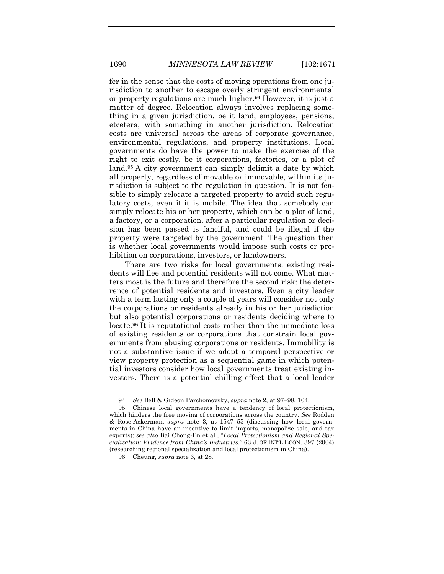fer in the sense that the costs of moving operations from one jurisdiction to another to escape overly stringent environmental or property regulations are much higher[.94](#page-20-0) However, it is just a matter of degree. Relocation always involves replacing something in a given jurisdiction, be it land, employees, pensions, etcetera, with something in another jurisdiction. Relocation costs are universal across the areas of corporate governance, environmental regulations, and property institutions. Local governments do have the power to make the exercise of the right to exit costly, be it corporations, factories, or a plot of land.[95](#page-20-1) A city government can simply delimit a date by which all property, regardless of movable or immovable, within its jurisdiction is subject to the regulation in question. It is not feasible to simply relocate a targeted property to avoid such regulatory costs, even if it is mobile. The idea that somebody can simply relocate his or her property, which can be a plot of land, a factory, or a corporation, after a particular regulation or decision has been passed is fanciful, and could be illegal if the property were targeted by the government. The question then is whether local governments would impose such costs or prohibition on corporations, investors, or landowners.

There are two risks for local governments: existing residents will flee and potential residents will not come. What matters most is the future and therefore the second risk: the deterrence of potential residents and investors. Even a city leader with a term lasting only a couple of years will consider not only the corporations or residents already in his or her jurisdiction but also potential corporations or residents deciding where to locate.[96](#page-20-2) It is reputational costs rather than the immediate loss of existing residents or corporations that constrain local governments from abusing corporations or residents. Immobility is not a substantive issue if we adopt a temporal perspective or view property protection as a sequential game in which potential investors consider how local governments treat existing investors. There is a potential chilling effect that a local leader

<sup>94.</sup> *See* Bell & Gideon Parchomovsky, *supra* not[e 2,](#page-1-4) at 97–98, 104.

<span id="page-20-1"></span><span id="page-20-0"></span><sup>95.</sup> Chinese local governments have a tendency of local protectionism, which hinders the free moving of corporations across the country. *See* Rodden & Rose-Ackerman, *supra* note [3,](#page-2-0) at 1547–55 (discussing how local governments in China have an incentive to limit imports, monopolize sale, and tax exports); *see also* Bai Chong-En et al., "*Local Protectionism and Regional Specialization: Evidence from China's Industries*," 63 J. OF INT'L ECON. 397 (2004) (researching regional specialization and local protectionism in China).

<span id="page-20-2"></span><sup>96.</sup> Cheung, *supra* not[e 6,](#page-2-1) at 28.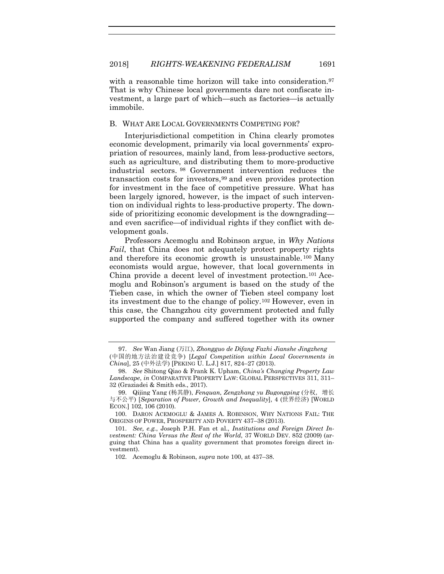with a reasonable time horizon will take into consideration.<sup>[97](#page-21-1)</sup> That is why Chinese local governments dare not confiscate investment, a large part of which—such as factories—is actually immobile.

#### B. WHAT ARE LOCAL GOVERNMENTS COMPETING FOR?

<span id="page-21-7"></span>Interjurisdictional competition in China clearly promotes economic development, primarily via local governments' expropriation of resources, mainly land, from less-productive sectors, such as agriculture, and distributing them to more-productive industrial sectors. [98](#page-21-2) Government intervention reduces the transaction costs for investors,[99](#page-21-3) and even provides protection for investment in the face of competitive pressure. What has been largely ignored, however, is the impact of such intervention on individual rights to less-productive property. The downside of prioritizing economic development is the downgrading and even sacrifice—of individual rights if they conflict with development goals.

<span id="page-21-0"></span>Professors Acemoglu and Robinson argue, in *Why Nations Fail*, that China does not adequately protect property rights and therefore its economic growth is unsustainable. [100](#page-21-4) Many economists would argue, however, that local governments in China provide a decent level of investment protection.[101](#page-21-5) Acemoglu and Robinson's argument is based on the study of the Tieben case, in which the owner of Tieben steel company lost its investment due to the change of policy.[102](#page-21-6) However, even in this case, the Changzhou city government protected and fully supported the company and suffered together with its owner

<span id="page-21-1"></span><sup>97.</sup> *See* Wan Jiang (万江), *Zhongguo de Difang Fazhi Jianshe Jingzheng* (中国的地方法治建设竞争) [*Legal Competition within Local Governments in China*], 25 (中外法学) [PEKING U. L.J.] 817, 824–27 (2013).

<span id="page-21-2"></span><sup>98.</sup> *See* Shitong Qiao & Frank K. Upham, *China's Changing Property Law Landscape*, *in* COMPARATIVE PROPERTY LAW: GLOBAL PERSPECTIVES 311, 311– 32 (Graziadei & Smith eds., 2017).

<span id="page-21-3"></span><sup>99.</sup> Qijing Yang (杨其静), *Fenquan, Zengzhang yu Bugongping* (分权, 增长 与不公平) [*Separation of Power, Growth and Inequality*], 4 (世界经济) [WORLD ECON.] 102, 106 (2010).

<span id="page-21-4"></span><sup>100.</sup> DARON ACEMOGLU & JAMES A. ROBINSON, WHY NATIONS FAIL: THE ORIGINS OF POWER, PROSPERITY AND POVERTY 437–38 (2013).

<span id="page-21-6"></span><span id="page-21-5"></span><sup>101.</sup> *See, e.g.*, Joseph P.H. Fan et al., *Institutions and Foreign Direct Investment: China Versus the Rest of the World*, 37 WORLD DEV. 852 (2009) (arguing that China has a quality government that promotes foreign direct investment).

<sup>102.</sup> Acemoglu & Robinson, *supra* not[e 100,](#page-21-0) at 437–38.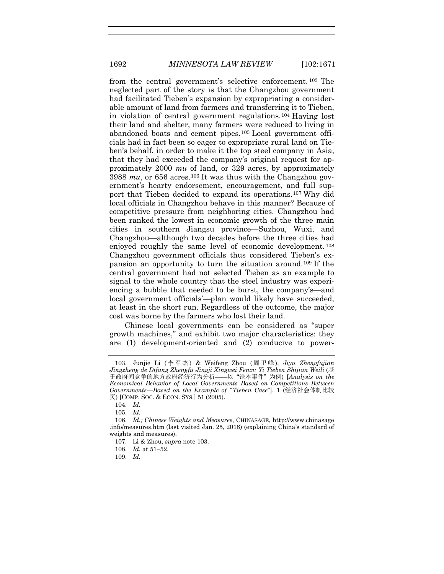from the central government's selective enforcement. [103](#page-22-1) The neglected part of the story is that the Changzhou government had facilitated Tieben's expansion by expropriating a considerable amount of land from farmers and transferring it to Tieben, in violation of central government regulations.[104](#page-22-2) Having lost their land and shelter, many farmers were reduced to living in abandoned boats and cement pipes.[105](#page-22-3) Local government officials had in fact been so eager to expropriate rural land on Tieben's behalf, in order to make it the top steel company in Asia, that they had exceeded the company's original request for approximately 2000 *mu* of land, or 329 acres, by approximately 3988 *mu*, or 656 acres.[106](#page-22-4) It was thus with the Changzhou government's hearty endorsement, encouragement, and full support that Tieben decided to expand its operations.[107](#page-22-5) Why did local officials in Changzhou behave in this manner? Because of competitive pressure from neighboring cities. Changzhou had been ranked the lowest in economic growth of the three main cities in southern Jiangsu province—Suzhou, Wuxi, and Changzhou—although two decades before the three cities had enjoyed roughly the same level of economic development. [108](#page-22-6) Changzhou government officials thus considered Tieben's expansion an opportunity to turn the situation around[.109](#page-22-7) If the central government had not selected Tieben as an example to signal to the whole country that the steel industry was experiencing a bubble that needed to be burst, the company's—and local government officials'—plan would likely have succeeded, at least in the short run. Regardless of the outcome, the major cost was borne by the farmers who lost their land.

Chinese local governments can be considered as "super growth machines," and exhibit two major characteristics: they are (1) development-oriented and (2) conducive to power-

<span id="page-22-0"></span>

<span id="page-22-1"></span><sup>103.</sup> Junjie Li ( 李军杰 ) & Weifeng Zhou ( 周卫峰 ), *Jiyu Zhengfujian Jingzheng de Difang Zhengfu Jingji Xingwei Fenxi: Yi Tieben Shijian Weili* (基 于政府间竞争的地方政府经济行为分析——以 "铁本事件" 为例) [*Analysis on the Economical Behavior of Local Governments Based on Competitions Between Governments—Based on the Example of "Tieben Case*"], 1 (经济社会体制比较 页) [COMP. SOC. & ECON. SYS.] 51 (2005).

<sup>104.</sup> *Id.*

<sup>105.</sup> *Id.*

<span id="page-22-6"></span><span id="page-22-5"></span><span id="page-22-4"></span><span id="page-22-3"></span><span id="page-22-2"></span><sup>106.</sup> *Id.; Chinese Weights and Measures*, CHINASAGE, http://www.chinasage .info/measures.htm (last visited Jan. 25, 2018) (explaining China's standard of weights and measures).

<sup>107.</sup> Li & Zhou, *supra* note [103.](#page-22-0)

<sup>108.</sup> *Id.* at 51–52.

<span id="page-22-7"></span><sup>109.</sup> *Id.*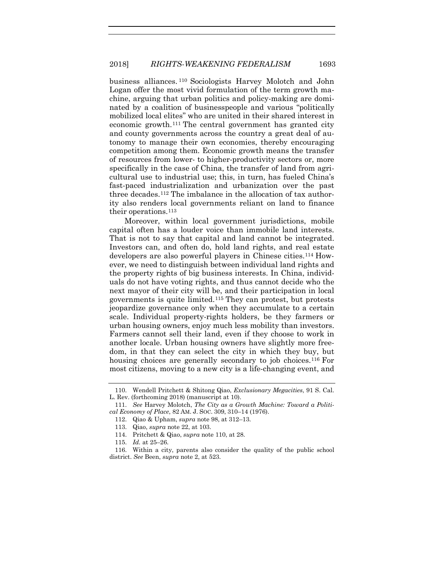<span id="page-23-0"></span>business alliances. [110](#page-23-1) Sociologists Harvey Molotch and John Logan offer the most vivid formulation of the term growth machine, arguing that urban politics and policy-making are dominated by a coalition of businesspeople and various "politically mobilized local elites" who are united in their shared interest in economic growth.[111](#page-23-2) The central government has granted city and county governments across the country a great deal of autonomy to manage their own economies, thereby encouraging competition among them. Economic growth means the transfer of resources from lower- to higher-productivity sectors or, more specifically in the case of China, the transfer of land from agricultural use to industrial use; this, in turn, has fueled China's fast-paced industrialization and urbanization over the past three decades.[112](#page-23-3) The imbalance in the allocation of tax authority also renders local governments reliant on land to finance their operations.[113](#page-23-4)

Moreover, within local government jurisdictions, mobile capital often has a louder voice than immobile land interests. That is not to say that capital and land cannot be integrated. Investors can, and often do, hold land rights, and real estate developers are also powerful players in Chinese cities.[114](#page-23-5) However, we need to distinguish between individual land rights and the property rights of big business interests. In China, individuals do not have voting rights, and thus cannot decide who the next mayor of their city will be, and their participation in local governments is quite limited.[115](#page-23-6) They can protest, but protests jeopardize governance only when they accumulate to a certain scale. Individual property-rights holders, be they farmers or urban housing owners, enjoy much less mobility than investors. Farmers cannot sell their land, even if they choose to work in another locale. Urban housing owners have slightly more freedom, in that they can select the city in which they buy, but housing choices are generally secondary to job choices.<sup>[116](#page-23-7)</sup> For most citizens, moving to a new city is a life-changing event, and

<sup>110.</sup> Wendell Pritchett & Shitong Qiao, *Exclusionary Megacities*, 91 S. Cal. L. Rev. (forthcoming 2018) (manuscript at 10).

<span id="page-23-4"></span><span id="page-23-3"></span><span id="page-23-2"></span><span id="page-23-1"></span><sup>111.</sup> *See* Harvey Molotch, *The City as a Growth Machine: Toward a Political Economy of Place*, 82 AM. J. SOC. 309, 310–14 (1976).

<sup>112.</sup> Qiao & Upham, *supra* note [98,](#page-21-7) at 312–13.

<sup>113.</sup> Qiao, *supra* note [22,](#page-5-7) at 103.

<sup>114.</sup> Pritchett & Qiao, *supra* note [110,](#page-23-0) at 28.

<sup>115.</sup> *Id.* at 25–26.

<span id="page-23-7"></span><span id="page-23-6"></span><span id="page-23-5"></span><sup>116.</sup> Within a city, parents also consider the quality of the public school district. *See* Been, *supra* not[e 2,](#page-1-4) at 523.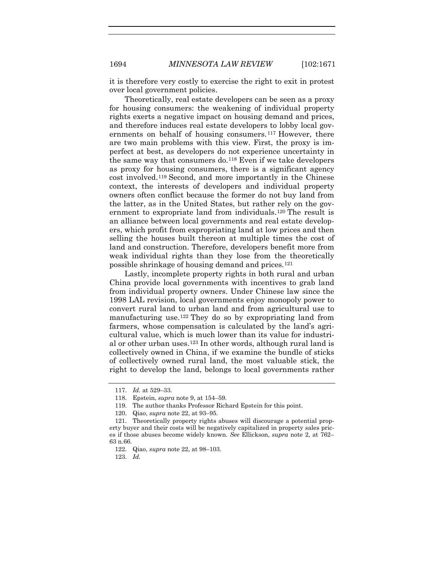it is therefore very costly to exercise the right to exit in protest over local government policies.

Theoretically, real estate developers can be seen as a proxy for housing consumers: the weakening of individual property rights exerts a negative impact on housing demand and prices, and therefore induces real estate developers to lobby local governments on behalf of housing consumers.[117](#page-24-0) However, there are two main problems with this view. First, the proxy is imperfect at best, as developers do not experience uncertainty in the same way that consumers do.[118](#page-24-1) Even if we take developers as proxy for housing consumers, there is a significant agency cost involved.[119](#page-24-2) Second, and more importantly in the Chinese context, the interests of developers and individual property owners often conflict because the former do not buy land from the latter, as in the United States, but rather rely on the government to expropriate land from individuals.[120](#page-24-3) The result is an alliance between local governments and real estate developers, which profit from expropriating land at low prices and then selling the houses built thereon at multiple times the cost of land and construction. Therefore, developers benefit more from weak individual rights than they lose from the theoretically possible shrinkage of housing demand and prices.[121](#page-24-4)

Lastly, incomplete property rights in both rural and urban China provide local governments with incentives to grab land from individual property owners. Under Chinese law since the 1998 LAL revision, local governments enjoy monopoly power to convert rural land to urban land and from agricultural use to manufacturing use.[122](#page-24-5) They do so by expropriating land from farmers, whose compensation is calculated by the land's agricultural value, which is much lower than its value for industrial or other urban uses.[123](#page-24-6) In other words, although rural land is collectively owned in China, if we examine the bundle of sticks of collectively owned rural land, the most valuable stick, the right to develop the land, belongs to local governments rather

<sup>117.</sup> *Id.* at 529–33.

<sup>118.</sup> Epstein, *supra* note [9,](#page-3-0) at 154–59.

<sup>119.</sup> The author thanks Professor Richard Epstein for this point.

<sup>120.</sup> Qiao, *supra* note [22,](#page-5-7) at 93–95.

<span id="page-24-6"></span><span id="page-24-5"></span><span id="page-24-4"></span><span id="page-24-3"></span><span id="page-24-2"></span><span id="page-24-1"></span><span id="page-24-0"></span><sup>121.</sup> Theoretically property rights abuses will discourage a potential property buyer and their costs will be negatively capitalized in property sales prices if those abuses become widely known. *See* Ellickson, *supra* note [2,](#page-1-4) at 762– 63 n.66.

<sup>122.</sup> Qiao, *supra* note [22,](#page-5-7) at 98–103.

<sup>123.</sup> *Id.*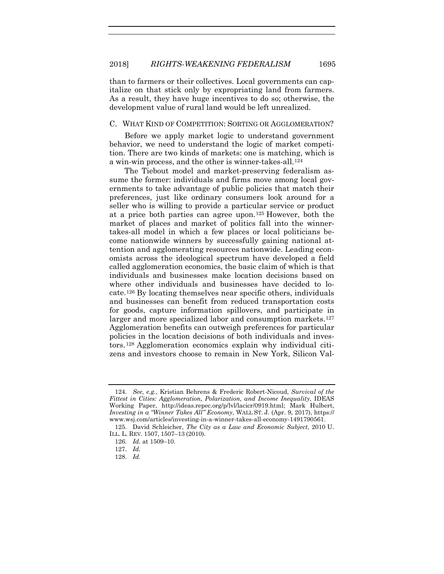than to farmers or their collectives. Local governments can capitalize on that stick only by expropriating land from farmers. As a result, they have huge incentives to do so; otherwise, the development value of rural land would be left unrealized.

#### C. WHAT KIND OF COMPETITION: SORTING OR AGGLOMERATION?

Before we apply market logic to understand government behavior, we need to understand the logic of market competition. There are two kinds of markets: one is matching, which is a win-win process, and the other is winner-takes-all.[124](#page-25-0)

<span id="page-25-5"></span>The Tiebout model and market-preserving federalism assume the former: individuals and firms move among local governments to take advantage of public policies that match their preferences, just like ordinary consumers look around for a seller who is willing to provide a particular service or product at a price both parties can agree upon.[125](#page-25-1) However, both the market of places and market of politics fall into the winnertakes-all model in which a few places or local politicians become nationwide winners by successfully gaining national attention and agglomerating resources nationwide. Leading economists across the ideological spectrum have developed a field called agglomeration economics, the basic claim of which is that individuals and businesses make location decisions based on where other individuals and businesses have decided to locate.[126](#page-25-2) By locating themselves near specific others, individuals and businesses can benefit from reduced transportation costs for goods, capture information spillovers, and participate in larger and more specialized labor and consumption markets.<sup>[127](#page-25-3)</sup> Agglomeration benefits can outweigh preferences for particular policies in the location decisions of both individuals and investors.[128](#page-25-4) Agglomeration economics explain why individual citizens and investors choose to remain in New York, Silicon Val-

<span id="page-25-0"></span><sup>124.</sup> *See, e.g.*, Kristian Behrens & Frederic Robert-Nicoud, *Survival of the Fittest in Cities: Agglomeration, Polarization, and Income Inequality*, IDEAS Working Paper, http://ideas.repec.org/p/lvl/lacicr/0919.html; Mark Hulbert, *Investing in a "Winner Takes All" Economy*, WALL ST. J. (Apr. 9, 2017), https:// www.wsj.com/articles/investing-in-a-winner-takes-all-economy-1491790561.

<span id="page-25-4"></span><span id="page-25-3"></span><span id="page-25-2"></span><span id="page-25-1"></span><sup>125.</sup> David Schleicher, *The City as a Law and Economic Subject*, 2010 U. ILL. L. REV. 1507, 1507–13 (2010).

<sup>126.</sup> *Id.* at 1509–10.

<sup>127.</sup> *Id.*

<sup>128.</sup> *Id.*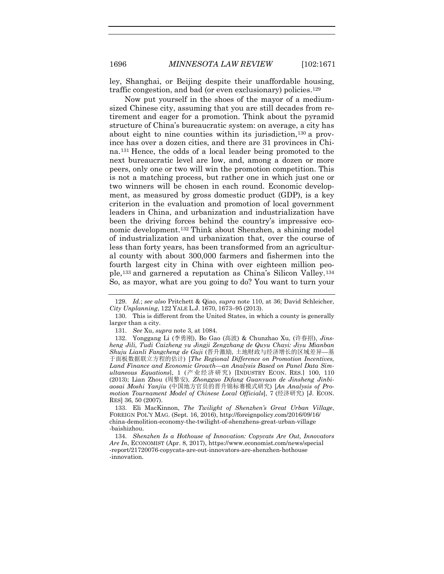ley, Shanghai, or Beijing despite their unaffordable housing, traffic congestion, and bad (or even exclusionary) policies.[129](#page-26-0)

Now put yourself in the shoes of the mayor of a mediumsized Chinese city, assuming that you are still decades from retirement and eager for a promotion. Think about the pyramid structure of China's bureaucratic system: on average, a city has about eight to nine counties within its jurisdiction,<sup>[130](#page-26-1)</sup> a province has over a dozen cities, and there are 31 provinces in China.[131](#page-26-2) Hence, the odds of a local leader being promoted to the next bureaucratic level are low, and, among a dozen or more peers, only one or two will win the promotion competition. This is not a matching process, but rather one in which just one or two winners will be chosen in each round. Economic development, as measured by gross domestic product (GDP), is a key criterion in the evaluation and promotion of local government leaders in China, and urbanization and industrialization have been the driving forces behind the country's impressive economic development.[132](#page-26-3) Think about Shenzhen, a shining model of industrialization and urbanization that, over the course of less than forty years, has been transformed from an agricultural county with about 300,000 farmers and fishermen into the fourth largest city in China with over eighteen million people,[133](#page-26-4) and garnered a reputation as China's Silicon Valley.[134](#page-26-5) So, as mayor, what are you going to do? You want to turn your

131. *See* Xu, *supra* not[e 3,](#page-2-0) at 1084.

<span id="page-26-6"></span><span id="page-26-0"></span><sup>129.</sup> *Id.*; *see also* Pritchett & Qiao, *supra* note [110,](#page-23-0) at 36; David Schleicher, *City Unplanning*, 122 YALE L.J. 1670, 1673–95 (2013).

<span id="page-26-1"></span><sup>130.</sup> This is different from the United States, in which a county is generally larger than a city.

<span id="page-26-3"></span><span id="page-26-2"></span><sup>132.</sup> Yonggang Li (李勇刚), Bo Gao (高波) & Chunzhao Xu, (许春招), *Jinsheng Jili, Tudi Caizheng yu Jingji Zengzhang de Quyu Chayi: Jiyu Mianban Shuju Lianli Fangcheng de Guji* (晋升激励, 土地财政与经济增长的区域差异—基 于面板数据联立方程的估计) [*The Regional Difference on Promotion Incentives, Land Finance and Economic Growth—an Analysis Based on Panel Data Simultaneous Equations*], 1 (产业经济研究) [INDUSTRY ECON. RES.] 100, 110 (2013); Lian Zhou (周黎安), *Zhongguo Difang Guanyuan de Jinsheng Jinbiaosai Moshi Yanjiu* (中国地方官员的晋升锦标赛模式研究) [*An Analysis of Promotion Tournament Model of Chinese Local Officials*], 7 (经济研究) [J. ECON. RES] 36, 50 (2007).

<span id="page-26-4"></span><sup>133.</sup> Eli MacKinnon, *The Twilight of Shenzhen's Great Urban Village*, FOREIGN POL'Y MAG. (Sept. 16, 2016), http://foreignpolicy.com/2016/09/16/ china-demolition-economy-the-twilight-of-shenzhens-great-urban-village -baishizhou.

<span id="page-26-5"></span><sup>134.</sup> *Shenzhen Is a Hothouse of Innovation: Copycats Are Out, Innovators Are In*, ECONOMIST (Apr. 8, 2017), https://www.economist.com/news/special -report/21720076-copycats-are-out-innovators-are-shenzhen-hothouse -innovation.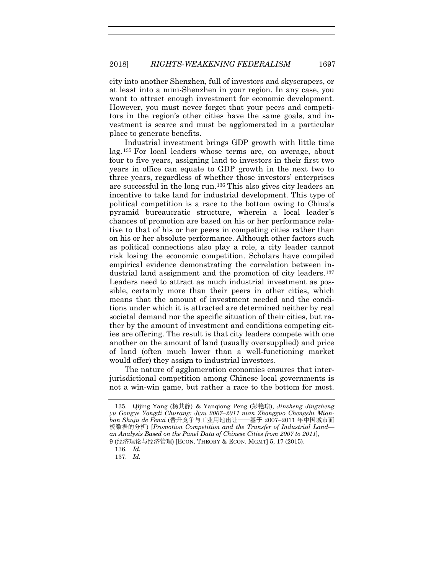city into another Shenzhen, full of investors and skyscrapers, or at least into a mini-Shenzhen in your region. In any case, you want to attract enough investment for economic development. However, you must never forget that your peers and competitors in the region's other cities have the same goals, and investment is scarce and must be agglomerated in a particular place to generate benefits.

Industrial investment brings GDP growth with little time lag. [135](#page-27-0) For local leaders whose terms are, on average, about four to five years, assigning land to investors in their first two years in office can equate to GDP growth in the next two to three years, regardless of whether those investors' enterprises are successful in the long run.[136](#page-27-1) This also gives city leaders an incentive to take land for industrial development. This type of political competition is a race to the bottom owing to China's pyramid bureaucratic structure, wherein a local leader's chances of promotion are based on his or her performance relative to that of his or her peers in competing cities rather than on his or her absolute performance. Although other factors such as political connections also play a role, a city leader cannot risk losing the economic competition. Scholars have compiled empirical evidence demonstrating the correlation between in-dustrial land assignment and the promotion of city leaders.<sup>[137](#page-27-2)</sup> Leaders need to attract as much industrial investment as possible, certainly more than their peers in other cities, which means that the amount of investment needed and the conditions under which it is attracted are determined neither by real societal demand nor the specific situation of their cities, but rather by the amount of investment and conditions competing cities are offering. The result is that city leaders compete with one another on the amount of land (usually oversupplied) and price of land (often much lower than a well-functioning market would offer) they assign to industrial investors.

The nature of agglomeration economies ensures that interjurisdictional competition among Chinese local governments is not a win-win game, but rather a race to the bottom for most.

<span id="page-27-0"></span><sup>135.</sup> Qijing Yang (杨其静) & Yanqiong Peng (彭艳琼), *Jinsheng Jingzheng yu Gongye Yongdi Churang: Jiyu 2007–2011 nian Zhongguo Chengshi Mianban Shuju de Fenxi* (晋升竞争与工业用地出让——基于 2007–2011 年中国城市面 板数据的分析) [*Promotion Competition and the Transfer of Industrial Land an Analysis Based on the Panel Data of Chinese Cities from 2007 to 2011*], 9 (经济理论与经济管理) [ECON. THEORY & ECON. MGMT] 5, 17 (2015).

<sup>136.</sup> *Id.*

<span id="page-27-2"></span><span id="page-27-1"></span><sup>137.</sup> *Id.*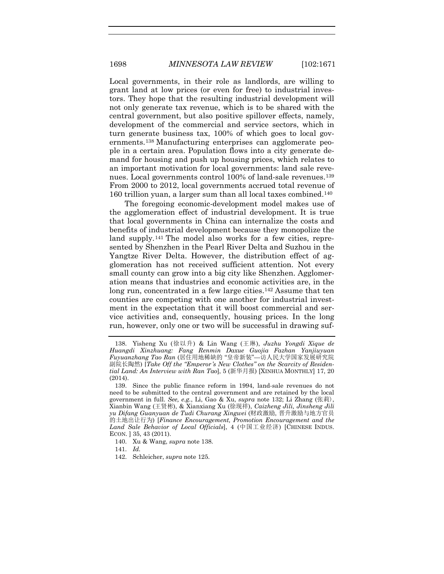<span id="page-28-0"></span>Local governments, in their role as landlords, are willing to grant land at low prices (or even for free) to industrial investors. They hope that the resulting industrial development will not only generate tax revenue, which is to be shared with the central government, but also positive spillover effects, namely, development of the commercial and service sectors, which in turn generate business tax, 100% of which goes to local governments.[138](#page-28-1) Manufacturing enterprises can agglomerate people in a certain area. Population flows into a city generate demand for housing and push up housing prices, which relates to an important motivation for local governments: land sale reve-nues. Local governments control 100% of land-sale revenues.<sup>[139](#page-28-2)</sup> From 2000 to 2012, local governments accrued total revenue of 160 trillion yuan, a larger sum than all local taxes combined.[140](#page-28-3)

The foregoing economic-development model makes use of the agglomeration effect of industrial development. It is true that local governments in China can internalize the costs and benefits of industrial development because they monopolize the land supply.<sup>[141](#page-28-4)</sup> The model also works for a few cities, represented by Shenzhen in the Pearl River Delta and Suzhou in the Yangtze River Delta. However, the distribution effect of agglomeration has not received sufficient attention. Not every small county can grow into a big city like Shenzhen. Agglomeration means that industries and economic activities are, in the long run, concentrated in a few large cities.<sup>[142](#page-28-5)</sup> Assume that ten counties are competing with one another for industrial investment in the expectation that it will boost commercial and service activities and, consequently, housing prices. In the long run, however, only one or two will be successful in drawing suf-

- <span id="page-28-3"></span>140. Xu & Wang, *supra* not[e 138.](#page-28-0)
- <span id="page-28-4"></span>141. *Id.*
- <span id="page-28-5"></span>142. Schleicher, *supra* note [125.](#page-25-5)

<span id="page-28-1"></span><sup>138.</sup> Yisheng Xu (徐以升) & Lin Wang (王琳), *Juzhu Yongdi Xique de Huangdi Xinzhuang: Fang Renmin Daxue Guojia Fazhan Yanjiuyuan Fuyuanzhang Tao Ran* (居住用地稀缺的 "皇帝新装"—访人民大学国家发展研究院 副院长陶然) [*Take Off the "Emperor 's New Clothes" on the Scarcity of Residential Land: An Interview with Ran Tao*], 5 (新华月报) [XINHUA MONTHLY] 17, 20 (2014).

<span id="page-28-2"></span><sup>139.</sup> Since the public finance reform in 1994, land-sale revenues do not need to be submitted to the central government and are retained by the local government in full. *See, e.g.*, Li, Gao & Xu, *supra* note [132;](#page-26-6) Li Zhang (张莉), Xianbin Wang (王贤彬), & Xianxiang Xu (徐现祥), *Caizheng Jili, Jinsheng Jili yu Difang Guanyuan de Tudi Churang Xingwei* (财政激励, 晋升激励与地方官员 的土地出让行为) [*Finance Encouragement, Promotion Encouragement and the Land Sale Behavior of Local Officials*], 4 (中国工业经济) [CHINESE INDUS. ECON. ] 35, 43 (2011).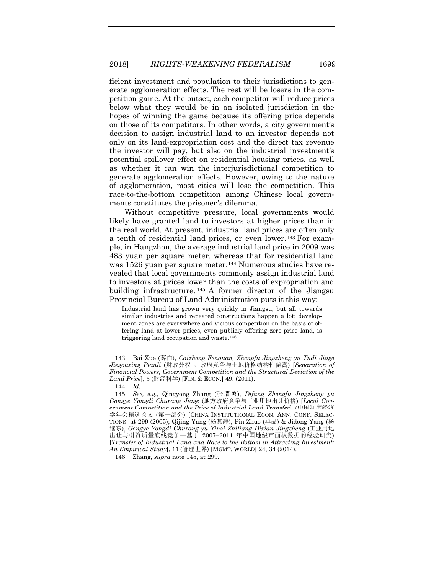ficient investment and population to their jurisdictions to generate agglomeration effects. The rest will be losers in the competition game. At the outset, each competitor will reduce prices below what they would be in an isolated jurisdiction in the hopes of winning the game because its offering price depends on those of its competitors. In other words, a city government's decision to assign industrial land to an investor depends not only on its land-expropriation cost and the direct tax revenue the investor will pay, but also on the industrial investment's potential spillover effect on residential housing prices, as well as whether it can win the interjurisdictional competition to generate agglomeration effects. However, owing to the nature of agglomeration, most cities will lose the competition. This race-to-the-bottom competition among Chinese local governments constitutes the prisoner's dilemma.

Without competitive pressure, local governments would likely have granted land to investors at higher prices than in the real world. At present, industrial land prices are often only a tenth of residential land prices, or even lower.[143](#page-29-1) For example, in Hangzhou, the average industrial land price in 2009 was 483 yuan per square meter, whereas that for residential land was 1526 yuan per square meter.<sup>[144](#page-29-2)</sup> Numerous studies have revealed that local governments commonly assign industrial land to investors at prices lower than the costs of expropriation and building infrastructure. [145](#page-29-3) A former director of the Jiangsu Provincial Bureau of Land Administration puts it this way:

<span id="page-29-0"></span>Industrial land has grown very quickly in Jiangsu, but all towards similar industries and repeated constructions happen a lot; development zones are everywhere and vicious competition on the basis of offering land at lower prices, even publicly offering zero-price land, is triggering land occupation and waste.[146](#page-29-4)

144. *Id.*

<span id="page-29-4"></span>146. Zhang, *supra* note [145,](#page-29-0) at 299.

<span id="page-29-1"></span><sup>143.</sup> Bai Xue (薛白), *Caizheng Fenquan, Zhengfu Jingzheng yu Tudi Jiage Jiegouxing Pianli* (财政分权 、政府竞争与土地价格结构性偏离) [*Separation of Financial Powers, Government Competition and the Structural Deviation of the Land Price*], 3 (财经科学) [FIN. & ECON.] 49, (2011).

<span id="page-29-3"></span><span id="page-29-2"></span><sup>145.</sup> *See, e.g.*, Qingyong Zhang (张清勇), *Difang Zhengfu Jingzheng yu Gongye Yongdi Churang Jiage* (地方政府竞争与工业用地出让价格) [*Local Government Competition and the Price of Industrial Land Transfer*], (中国制度经济 学年会精选论文 (第一部分) [CHINA INSTITUTIONAL ECON. ANN. CONF. SELEC-TIONS] at 299 (2005); Qijing Yang (杨其静), Pin Zhuo (卓品) & Jidong Yang (杨 继东), *Gongye Yongdi Churang yu Yinzi Zhiliang Dixian Jingzheng* (工业用地 出让与引资质量底线竞争—基于 2007–2011 年中国地级市面板数据的经验研究) [*Transfer of Industrial Land and Race to the Bottom in Attracting Investment: An Empirical Study*], 11 (管理世界) [MGMT. WORLD] 24, 34 (2014).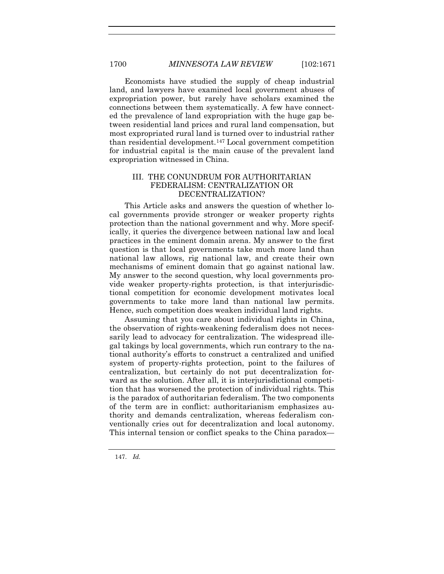Economists have studied the supply of cheap industrial land, and lawyers have examined local government abuses of expropriation power, but rarely have scholars examined the connections between them systematically. A few have connected the prevalence of land expropriation with the huge gap between residential land prices and rural land compensation, but most expropriated rural land is turned over to industrial rather than residential development[.147](#page-30-0) Local government competition for industrial capital is the main cause of the prevalent land expropriation witnessed in China.

#### III. THE CONUNDRUM FOR AUTHORITARIAN FEDERALISM: CENTRALIZATION OR DECENTRALIZATION?

This Article asks and answers the question of whether local governments provide stronger or weaker property rights protection than the national government and why. More specifically, it queries the divergence between national law and local practices in the eminent domain arena. My answer to the first question is that local governments take much more land than national law allows, rig national law, and create their own mechanisms of eminent domain that go against national law. My answer to the second question, why local governments provide weaker property-rights protection, is that interjurisdictional competition for economic development motivates local governments to take more land than national law permits. Hence, such competition does weaken individual land rights.

Assuming that you care about individual rights in China, the observation of rights-weakening federalism does not necessarily lead to advocacy for centralization. The widespread illegal takings by local governments, which run contrary to the national authority's efforts to construct a centralized and unified system of property-rights protection, point to the failures of centralization, but certainly do not put decentralization forward as the solution. After all, it is interjurisdictional competition that has worsened the protection of individual rights. This is the paradox of authoritarian federalism. The two components of the term are in conflict: authoritarianism emphasizes authority and demands centralization, whereas federalism conventionally cries out for decentralization and local autonomy. This internal tension or conflict speaks to the China paradox—

<span id="page-30-0"></span>147. *Id.*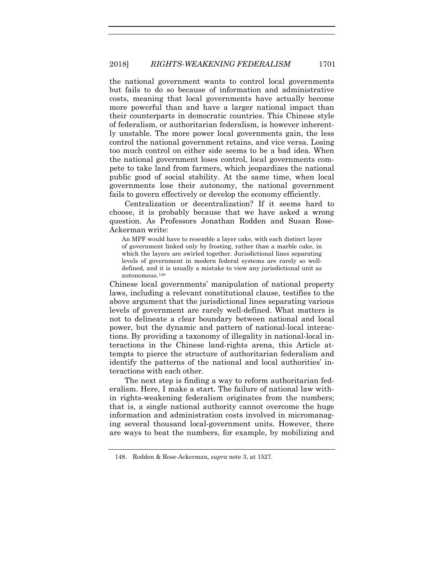the national government wants to control local governments but fails to do so because of information and administrative costs, meaning that local governments have actually become more powerful than and have a larger national impact than their counterparts in democratic countries. This Chinese style of federalism, or authoritarian federalism, is however inherently unstable. The more power local governments gain, the less control the national government retains, and vice versa. Losing too much control on either side seems to be a bad idea. When the national government loses control, local governments compete to take land from farmers, which jeopardizes the national public good of social stability. At the same time, when local governments lose their autonomy, the national government fails to govern effectively or develop the economy efficiently.

Centralization or decentralization? If it seems hard to choose, it is probably because that we have asked a wrong question. As Professors Jonathan Rodden and Susan Rose-Ackerman write:

An MPF would have to resemble a layer cake, with each distinct layer of government linked only by frosting, rather than a marble cake, in which the layers are swirled together. Jurisdictional lines separating levels of government in modern federal systems are rarely so welldefined, and it is usually a mistake to view any jurisdictional unit as autonomous.[148](#page-31-0)

Chinese local governments' manipulation of national property laws, including a relevant constitutional clause, testifies to the above argument that the jurisdictional lines separating various levels of government are rarely well-defined. What matters is not to delineate a clear boundary between national and local power, but the dynamic and pattern of national-local interactions. By providing a taxonomy of illegality in national-local interactions in the Chinese land-rights arena, this Article attempts to pierce the structure of authoritarian federalism and identify the patterns of the national and local authorities' interactions with each other.

The next step is finding a way to reform authoritarian federalism. Here, I make a start. The failure of national law within rights-weakening federalism originates from the numbers; that is, a single national authority cannot overcome the huge information and administration costs involved in micromanaging several thousand local-government units. However, there are ways to beat the numbers, for example, by mobilizing and

<span id="page-31-0"></span><sup>148.</sup> Rodden & Rose-Ackerman, *supra* note [3,](#page-2-0) at 1527.